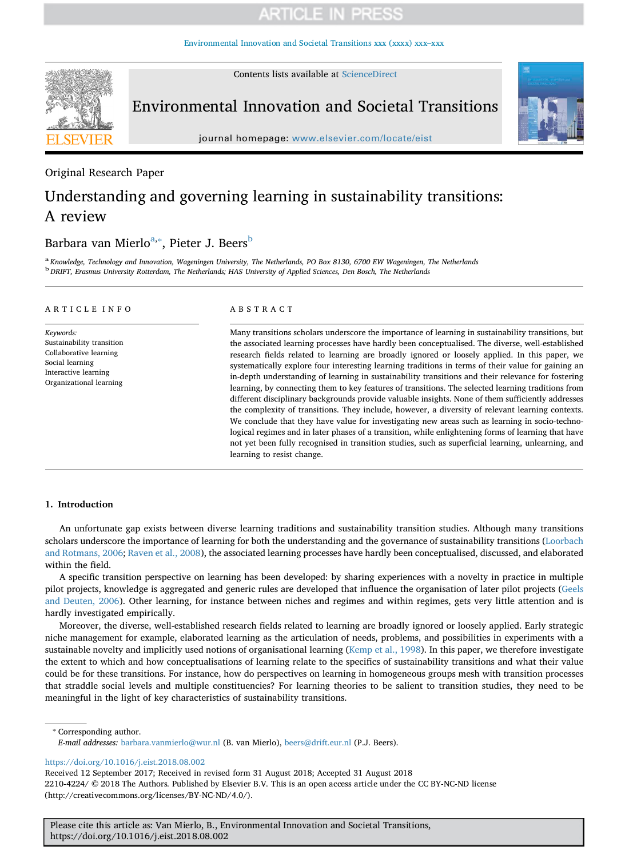[Environmental Innovation and Societal Transitions xxx \(xxxx\) xxx–xxx](https://doi.org/10.1016/j.eist.2018.08.002)

Contents lists available at [ScienceDirect](http://www.sciencedirect.com/science/journal/22104224)



Environmental Innovation and Societal Transitions



journal homepage: [www.elsevier.com/locate/eist](https://www.elsevier.com/locate/eist)

### Original Research Paper

# Understanding and governing learning in sustainability transitions: A review

## Barbara van Mierlo<sup>a,</sup>\*, Pieter J. Beers<sup>b</sup>

<span id="page-0-2"></span><span id="page-0-0"></span><sup>a</sup>*Knowledge, Technology and Innovation, Wageningen University, The Netherlands, PO Box 8130, 6700 EW Wageningen, The Netherlands* <sup>b</sup>*DRIFT, Erasmus University Rotterdam, The Netherlands; HAS University of Applied Sciences, Den Bosch, The Netherlands*

### ARTICLE INFO

*Keywords:* Sustainability transition Collaborative learning Social learning Interactive learning Organizational learning

### ABSTRACT

Many transitions scholars underscore the importance of learning in sustainability transitions, but the associated learning processes have hardly been conceptualised. The diverse, well-established research fields related to learning are broadly ignored or loosely applied. In this paper, we systematically explore four interesting learning traditions in terms of their value for gaining an in-depth understanding of learning in sustainability transitions and their relevance for fostering learning, by connecting them to key features of transitions. The selected learning traditions from different disciplinary backgrounds provide valuable insights. None of them sufficiently addresses the complexity of transitions. They include, however, a diversity of relevant learning contexts. We conclude that they have value for investigating new areas such as learning in socio-technological regimes and in later phases of a transition, while enlightening forms of learning that have not yet been fully recognised in transition studies, such as superficial learning, unlearning, and learning to resist change.

### **1. Introduction**

An unfortunate gap exists between diverse learning traditions and sustainability transition studies. Although many transitions scholars underscore the importance of learning for both the understanding and the governance of sustainability transitions [\(Loorbach](#page-13-0) [and Rotmans, 2006;](#page-13-0) [Raven et al., 2008\)](#page-14-0), the associated learning processes have hardly been conceptualised, discussed, and elaborated within the field.

A specific transition perspective on learning has been developed: by sharing experiences with a novelty in practice in multiple pilot projects, knowledge is aggregated and generic rules are developed that influence the organisation of later pilot projects [\(Geels](#page-13-1) [and Deuten, 2006](#page-13-1)). Other learning, for instance between niches and regimes and within regimes, gets very little attention and is hardly investigated empirically.

Moreover, the diverse, well-established research fields related to learning are broadly ignored or loosely applied. Early strategic niche management for example, elaborated learning as the articulation of needs, problems, and possibilities in experiments with a sustainable novelty and implicitly used notions of organisational learning [\(Kemp et al., 1998](#page-13-2)). In this paper, we therefore investigate the extent to which and how conceptualisations of learning relate to the specifics of sustainability transitions and what their value could be for these transitions. For instance, how do perspectives on learning in homogeneous groups mesh with transition processes that straddle social levels and multiple constituencies? For learning theories to be salient to transition studies, they need to be meaningful in the light of key characteristics of sustainability transitions.

<span id="page-0-1"></span>⁎ Corresponding author.

*E-mail addresses:* [barbara.vanmierlo@wur.nl](mailto:barbara.vanmierlo@wur.nl) (B. van Mierlo), [beers@drift.eur.nl](mailto:beers@drift.eur.nl) (P.J. Beers).

<https://doi.org/10.1016/j.eist.2018.08.002>

Received 12 September 2017; Received in revised form 31 August 2018; Accepted 31 August 2018 2210-4224/ © 2018 The Authors. Published by Elsevier B.V. This is an open access article under the CC BY-NC-ND license (http://creativecommons.org/licenses/BY-NC-ND/4.0/).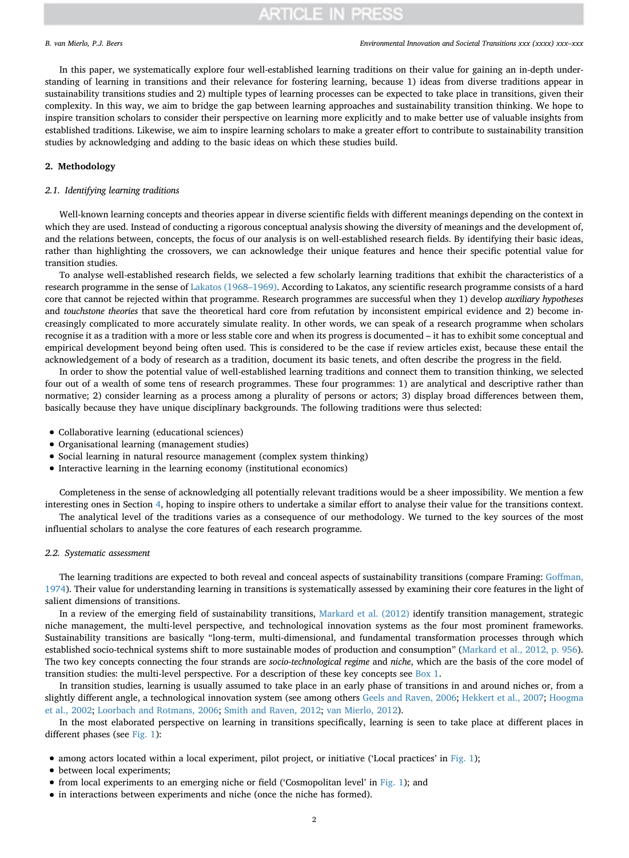#### *B. van Mierlo, P.J. Beers Environmental Innovation and Societal Transitions xxx (xxxx) xxx–xxx*

In this paper, we systematically explore four well-established learning traditions on their value for gaining an in-depth understanding of learning in transitions and their relevance for fostering learning, because 1) ideas from diverse traditions appear in sustainability transitions studies and 2) multiple types of learning processes can be expected to take place in transitions, given their complexity. In this way, we aim to bridge the gap between learning approaches and sustainability transition thinking. We hope to inspire transition scholars to consider their perspective on learning more explicitly and to make better use of valuable insights from established traditions. Likewise, we aim to inspire learning scholars to make a greater effort to contribute to sustainability transition studies by acknowledging and adding to the basic ideas on which these studies build.

### **2. Methodology**

#### *2.1. Identifying learning traditions*

Well-known learning concepts and theories appear in diverse scientific fields with different meanings depending on the context in which they are used. Instead of conducting a rigorous conceptual analysis showing the diversity of meanings and the development of, and the relations between, concepts, the focus of our analysis is on well-established research fields. By identifying their basic ideas, rather than highlighting the crossovers, we can acknowledge their unique features and hence their specific potential value for transition studies.

To analyse well-established research fields, we selected a few scholarly learning traditions that exhibit the characteristics of a research programme in the sense of [Lakatos \(1968–1969\).](#page-13-3) According to Lakatos, any scientific research programme consists of a hard core that cannot be rejected within that programme. Research programmes are successful when they 1) develop *auxiliary hypotheses* and *touchstone theories* that save the theoretical hard core from refutation by inconsistent empirical evidence and 2) become increasingly complicated to more accurately simulate reality. In other words, we can speak of a research programme when scholars recognise it as a tradition with a more or less stable core and when its progress is documented – it has to exhibit some conceptual and empirical development beyond being often used. This is considered to be the case if review articles exist, because these entail the acknowledgement of a body of research as a tradition, document its basic tenets, and often describe the progress in the field.

In order to show the potential value of well-established learning traditions and connect them to transition thinking, we selected four out of a wealth of some tens of research programmes. These four programmes: 1) are analytical and descriptive rather than normative; 2) consider learning as a process among a plurality of persons or actors; 3) display broad differences between them, basically because they have unique disciplinary backgrounds. The following traditions were thus selected:

- Collaborative learning (educational sciences)
- Organisational learning (management studies)
- Social learning in natural resource management (complex system thinking)
- Interactive learning in the learning economy (institutional economics)

Completeness in the sense of acknowledging all potentially relevant traditions would be a sheer impossibility. We mention a few interesting ones in Section [4](#page-10-0), hoping to inspire others to undertake a similar effort to analyse their value for the transitions context.

The analytical level of the traditions varies as a consequence of our methodology. We turned to the key sources of the most influential scholars to analyse the core features of each research programme.

### *2.2. Systematic assessment*

The learning traditions are expected to both reveal and conceal aspects of sustainability transitions (compare Framing: [Goffman,](#page-13-4) [1974\)](#page-13-4). Their value for understanding learning in transitions is systematically assessed by examining their core features in the light of salient dimensions of transitions.

In a review of the emerging field of sustainability transitions, [Markard et al. \(2012\)](#page-13-5) identify transition management, strategic niche management, the multi-level perspective, and technological innovation systems as the four most prominent frameworks. Sustainability transitions are basically "long-term, multi-dimensional, and fundamental transformation processes through which established socio-technical systems shift to more sustainable modes of production and consumption" [\(Markard et al., 2012, p. 956\)](#page-13-5). The two key concepts connecting the four strands are *socio-technological regime* and *niche*, which are the basis of the core model of transition studies: the multi-level perspective. For a description of these key concepts see [Box 1](#page-2-0).

In transition studies, learning is usually assumed to take place in an early phase of transitions in and around niches or, from a slightly different angle, a technological innovation system (see among others [Geels and Raven, 2006](#page-13-6); [Hekkert et al., 2007;](#page-13-7) [Hoogma](#page-13-8) [et al., 2002;](#page-13-8) [Loorbach and Rotmans, 2006](#page-13-0); [Smith and Raven, 2012;](#page-14-1) [van Mierlo, 2012](#page-14-2)).

In the most elaborated perspective on learning in transitions specifically, learning is seen to take place at different places in different phases (see [Fig. 1\)](#page-2-1):

- among actors located within a local experiment, pilot project, or initiative ('Local practices' in [Fig. 1\)](#page-2-1);
- between local experiments;
- from local experiments to an emerging niche or field ('Cosmopolitan level' in [Fig. 1\)](#page-2-1); and
- in interactions between experiments and niche (once the niche has formed).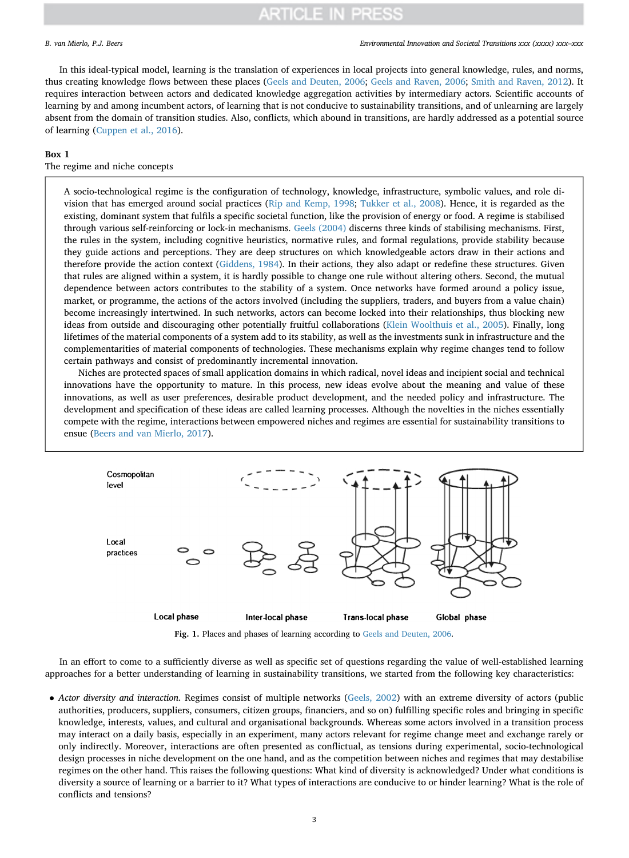In this ideal-typical model, learning is the translation of experiences in local projects into general knowledge, rules, and norms, thus creating knowledge flows between these places ([Geels and Deuten, 2006](#page-13-1); [Geels and Raven, 2006](#page-13-6); [Smith and Raven, 2012\)](#page-14-1). It requires interaction between actors and dedicated knowledge aggregation activities by intermediary actors. Scientific accounts of learning by and among incumbent actors, of learning that is not conducive to sustainability transitions, and of unlearning are largely absent from the domain of transition studies. Also, conflicts, which abound in transitions, are hardly addressed as a potential source of learning [\(Cuppen et al., 2016\)](#page-13-9).

#### <span id="page-2-0"></span>**Box 1**

### The regime and niche concepts

A socio-technological regime is the configuration of technology, knowledge, infrastructure, symbolic values, and role division that has emerged around social practices ([Rip and Kemp, 1998;](#page-14-3) [Tukker et al., 2008](#page-14-4)). Hence, it is regarded as the existing, dominant system that fulfils a specific societal function, like the provision of energy or food. A regime is stabilised through various self-reinforcing or lock-in mechanisms. [Geels \(2004\)](#page-13-11) discerns three kinds of stabilising mechanisms. First, the rules in the system, including cognitive heuristics, normative rules, and formal regulations, provide stability because they guide actions and perceptions. They are deep structures on which knowledgeable actors draw in their actions and therefore provide the action context [\(Giddens, 1984](#page-13-12)). In their actions, they also adapt or redefine these structures. Given that rules are aligned within a system, it is hardly possible to change one rule without altering others. Second, the mutual dependence between actors contributes to the stability of a system. Once networks have formed around a policy issue, market, or programme, the actions of the actors involved (including the suppliers, traders, and buyers from a value chain) become increasingly intertwined. In such networks, actors can become locked into their relationships, thus blocking new ideas from outside and discouraging other potentially fruitful collaborations ([Klein Woolthuis et al., 2005\)](#page-13-13). Finally, long lifetimes of the material components of a system add to its stability, as well as the investments sunk in infrastructure and the complementarities of material components of technologies. These mechanisms explain why regime changes tend to follow certain pathways and consist of predominantly incremental innovation.

Niches are protected spaces of small application domains in which radical, novel ideas and incipient social and technical innovations have the opportunity to mature. In this process, new ideas evolve about the meaning and value of these innovations, as well as user preferences, desirable product development, and the needed policy and infrastructure. The development and specification of these ideas are called learning processes. Although the novelties in the niches essentially compete with the regime, interactions between empowered niches and regimes are essential for sustainability transitions to ensue [\(Beers and van Mierlo, 2017\)](#page-13-14).

<span id="page-2-1"></span>

**Fig. 1.** Places and phases of learning according to [Geels and Deuten, 2006.](#page-13-1)

In an effort to come to a sufficiently diverse as well as specific set of questions regarding the value of well-established learning approaches for a better understanding of learning in sustainability transitions, we started from the following key characteristics:

• *Actor diversity and interaction*. Regimes consist of multiple networks [\(Geels, 2002](#page-13-10)) with an extreme diversity of actors (public authorities, producers, suppliers, consumers, citizen groups, financiers, and so on) fulfilling specific roles and bringing in specific knowledge, interests, values, and cultural and organisational backgrounds. Whereas some actors involved in a transition process may interact on a daily basis, especially in an experiment, many actors relevant for regime change meet and exchange rarely or only indirectly. Moreover, interactions are often presented as conflictual, as tensions during experimental, socio-technological design processes in niche development on the one hand, and as the competition between niches and regimes that may destabilise regimes on the other hand. This raises the following questions: What kind of diversity is acknowledged? Under what conditions is diversity a source of learning or a barrier to it? What types of interactions are conducive to or hinder learning? What is the role of conflicts and tensions?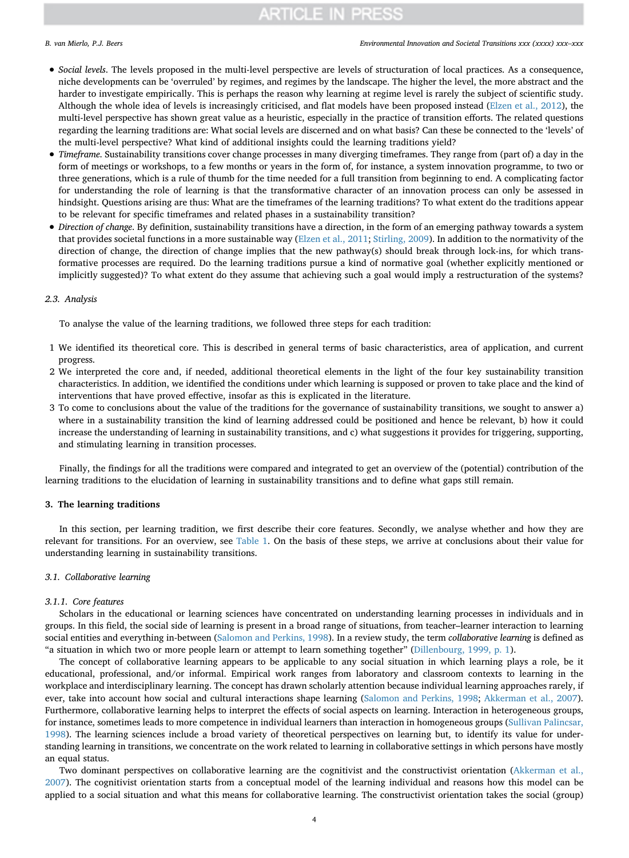#### *B. van Mierlo, P.J. Beers Environmental Innovation and Societal Transitions xxx (xxxx) xxx–xxx*

- *Social levels*. The levels proposed in the multi-level perspective are levels of structuration of local practices. As a consequence, niche developments can be 'overruled' by regimes, and regimes by the landscape. The higher the level, the more abstract and the harder to investigate empirically. This is perhaps the reason why learning at regime level is rarely the subject of scientific study. Although the whole idea of levels is increasingly criticised, and flat models have been proposed instead [\(Elzen et al., 2012](#page-13-15)), the multi-level perspective has shown great value as a heuristic, especially in the practice of transition efforts. The related questions regarding the learning traditions are: What social levels are discerned and on what basis? Can these be connected to the 'levels' of the multi-level perspective? What kind of additional insights could the learning traditions yield?
- *Timeframe*. Sustainability transitions cover change processes in many diverging timeframes. They range from (part of) a day in the form of meetings or workshops, to a few months or years in the form of, for instance, a system innovation programme, to two or three generations, which is a rule of thumb for the time needed for a full transition from beginning to end. A complicating factor for understanding the role of learning is that the transformative character of an innovation process can only be assessed in hindsight. Questions arising are thus: What are the timeframes of the learning traditions? To what extent do the traditions appear to be relevant for specific timeframes and related phases in a sustainability transition?
- *Direction of change*. By definition, sustainability transitions have a direction, in the form of an emerging pathway towards a system that provides societal functions in a more sustainable way [\(Elzen et al., 2011;](#page-13-16) [Stirling, 2009](#page-14-5)). In addition to the normativity of the direction of change, the direction of change implies that the new pathway(s) should break through lock-ins, for which transformative processes are required. Do the learning traditions pursue a kind of normative goal (whether explicitly mentioned or implicitly suggested)? To what extent do they assume that achieving such a goal would imply a restructuration of the systems?

### *2.3. Analysis*

To analyse the value of the learning traditions, we followed three steps for each tradition:

- 1 We identified its theoretical core. This is described in general terms of basic characteristics, area of application, and current progress.
- 2 We interpreted the core and, if needed, additional theoretical elements in the light of the four key sustainability transition characteristics. In addition, we identified the conditions under which learning is supposed or proven to take place and the kind of interventions that have proved effective, insofar as this is explicated in the literature.
- 3 To come to conclusions about the value of the traditions for the governance of sustainability transitions, we sought to answer a) where in a sustainability transition the kind of learning addressed could be positioned and hence be relevant, b) how it could increase the understanding of learning in sustainability transitions, and c) what suggestions it provides for triggering, supporting, and stimulating learning in transition processes.

Finally, the findings for all the traditions were compared and integrated to get an overview of the (potential) contribution of the learning traditions to the elucidation of learning in sustainability transitions and to define what gaps still remain.

### **3. The learning traditions**

In this section, per learning tradition, we first describe their core features. Secondly, we analyse whether and how they are relevant for transitions. For an overview, see [Table 1.](#page-4-0) On the basis of these steps, we arrive at conclusions about their value for understanding learning in sustainability transitions.

### *3.1. Collaborative learning*

### *3.1.1. Core features*

Scholars in the educational or learning sciences have concentrated on understanding learning processes in individuals and in groups. In this field, the social side of learning is present in a broad range of situations, from teacher–learner interaction to learning social entities and everything in-between [\(Salomon and Perkins, 1998](#page-14-6)). In a review study, the term *collaborative learning* is defined as "a situation in which two or more people learn or attempt to learn something together" ([Dillenbourg, 1999, p. 1\)](#page-13-17).

The concept of collaborative learning appears to be applicable to any social situation in which learning plays a role, be it educational, professional, and/or informal. Empirical work ranges from laboratory and classroom contexts to learning in the workplace and interdisciplinary learning. The concept has drawn scholarly attention because individual learning approaches rarely, if ever, take into account how social and cultural interactions shape learning [\(Salomon and Perkins, 1998](#page-14-6); [Akkerman et al., 2007](#page-12-0)). Furthermore, collaborative learning helps to interpret the effects of social aspects on learning. Interaction in heterogeneous groups, for instance, sometimes leads to more competence in individual learners than interaction in homogeneous groups [\(Sullivan Palincsar,](#page-14-7) [1998\)](#page-14-7). The learning sciences include a broad variety of theoretical perspectives on learning but, to identify its value for understanding learning in transitions, we concentrate on the work related to learning in collaborative settings in which persons have mostly an equal status.

Two dominant perspectives on collaborative learning are the cognitivist and the constructivist orientation ([Akkerman et al.,](#page-12-0) [2007\)](#page-12-0). The cognitivist orientation starts from a conceptual model of the learning individual and reasons how this model can be applied to a social situation and what this means for collaborative learning. The constructivist orientation takes the social (group)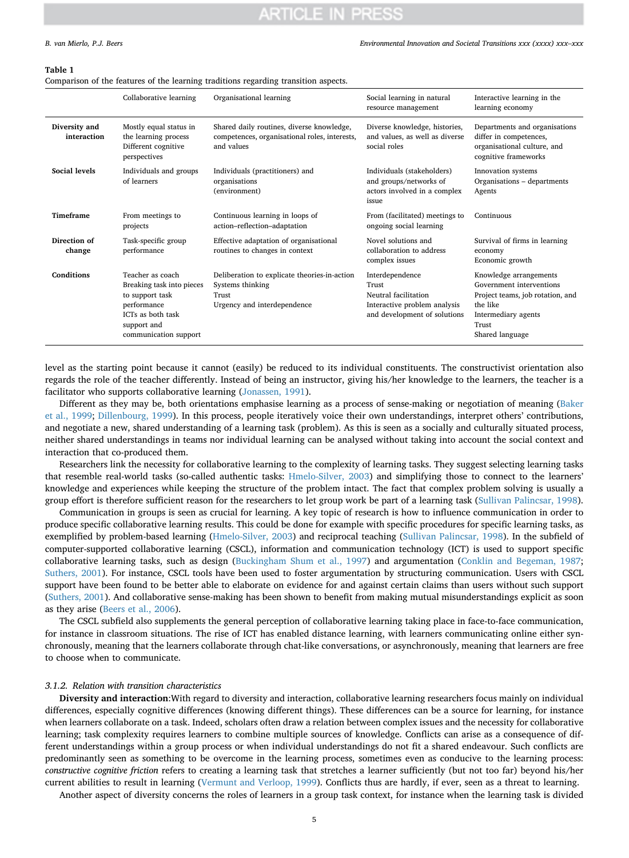*B. van Mierlo, P.J. Beers Environmental Innovation and Societal Transitions xxx (xxxx) xxx–xxx*

#### <span id="page-4-0"></span>**Table 1**

| Comparison of the features of the learning traditions regarding transition aspects. |  |
|-------------------------------------------------------------------------------------|--|
|-------------------------------------------------------------------------------------|--|

|                              | Collaborative learning                                                                                                                       | Organisational learning                                                                                  | Social learning in natural<br>resource management                                                                | Interactive learning in the<br>learning economy                                                                                                       |
|------------------------------|----------------------------------------------------------------------------------------------------------------------------------------------|----------------------------------------------------------------------------------------------------------|------------------------------------------------------------------------------------------------------------------|-------------------------------------------------------------------------------------------------------------------------------------------------------|
| Diversity and<br>interaction | Mostly equal status in<br>the learning process<br>Different cognitive<br>perspectives                                                        | Shared daily routines, diverse knowledge,<br>competences, organisational roles, interests,<br>and values | Diverse knowledge, histories,<br>and values, as well as diverse<br>social roles                                  | Departments and organisations<br>differ in competences,<br>organisational culture, and<br>cognitive frameworks                                        |
| Social levels                | Individuals and groups<br>of learners                                                                                                        | Individuals (practitioners) and<br>organisations<br>(environment)                                        | Individuals (stakeholders)<br>and groups/networks of<br>actors involved in a complex<br>issue                    | Innovation systems<br>Organisations - departments<br>Agents                                                                                           |
| Timeframe                    | From meetings to<br>projects                                                                                                                 | Continuous learning in loops of<br>action-reflection-adaptation                                          | From (facilitated) meetings to<br>ongoing social learning                                                        | Continuous                                                                                                                                            |
| Direction of<br>change       | Task-specific group<br>performance                                                                                                           | Effective adaptation of organisational<br>routines to changes in context                                 | Novel solutions and<br>collaboration to address<br>complex issues                                                | Survival of firms in learning<br>economy<br>Economic growth                                                                                           |
| Conditions                   | Teacher as coach<br>Breaking task into pieces<br>to support task<br>performance<br>ICTs as both task<br>support and<br>communication support | Deliberation to explicate theories-in-action<br>Systems thinking<br>Trust<br>Urgency and interdependence | Interdependence<br>Trust<br>Neutral facilitation<br>Interactive problem analysis<br>and development of solutions | Knowledge arrangements<br>Government interventions<br>Project teams, job rotation, and<br>the like<br>Intermediary agents<br>Trust<br>Shared language |

level as the starting point because it cannot (easily) be reduced to its individual constituents. The constructivist orientation also regards the role of the teacher differently. Instead of being an instructor, giving his/her knowledge to the learners, the teacher is a facilitator who supports collaborative learning ([Jonassen, 1991](#page-13-18)).

Different as they may be, both orientations emphasise learning as a process of sense-making or negotiation of meaning [\(Baker](#page-13-19) [et al., 1999;](#page-13-19) [Dillenbourg, 1999](#page-13-17)). In this process, people iteratively voice their own understandings, interpret others' contributions, and negotiate a new, shared understanding of a learning task (problem). As this is seen as a socially and culturally situated process, neither shared understandings in teams nor individual learning can be analysed without taking into account the social context and interaction that co-produced them.

Researchers link the necessity for collaborative learning to the complexity of learning tasks. They suggest selecting learning tasks that resemble real-world tasks (so-called authentic tasks: [Hmelo-Silver, 2003\)](#page-13-20) and simplifying those to connect to the learners' knowledge and experiences while keeping the structure of the problem intact. The fact that complex problem solving is usually a group effort is therefore sufficient reason for the researchers to let group work be part of a learning task [\(Sullivan Palincsar, 1998](#page-14-7)).

Communication in groups is seen as crucial for learning. A key topic of research is how to influence communication in order to produce specific collaborative learning results. This could be done for example with specific procedures for specific learning tasks, as exemplified by problem-based learning [\(Hmelo-Silver, 2003](#page-13-20)) and reciprocal teaching ([Sullivan Palincsar, 1998\)](#page-14-7). In the subfield of computer-supported collaborative learning (CSCL), information and communication technology (ICT) is used to support specific collaborative learning tasks, such as design [\(Buckingham Shum et al., 1997\)](#page-13-21) and argumentation [\(Conklin and Begeman, 1987](#page-13-22); [Suthers, 2001](#page-14-8)). For instance, CSCL tools have been used to foster argumentation by structuring communication. Users with CSCL support have been found to be better able to elaborate on evidence for and against certain claims than users without such support [\(Suthers, 2001\)](#page-14-8). And collaborative sense-making has been shown to benefit from making mutual misunderstandings explicit as soon as they arise [\(Beers et al., 2006\)](#page-13-23).

The CSCL subfield also supplements the general perception of collaborative learning taking place in face-to-face communication, for instance in classroom situations. The rise of ICT has enabled distance learning, with learners communicating online either synchronously, meaning that the learners collaborate through chat-like conversations, or asynchronously, meaning that learners are free to choose when to communicate.

### *3.1.2. Relation with transition characteristics*

**Diversity and interaction**:With regard to diversity and interaction, collaborative learning researchers focus mainly on individual differences, especially cognitive differences (knowing different things). These differences can be a source for learning, for instance when learners collaborate on a task. Indeed, scholars often draw a relation between complex issues and the necessity for collaborative learning; task complexity requires learners to combine multiple sources of knowledge. Conflicts can arise as a consequence of different understandings within a group process or when individual understandings do not fit a shared endeavour. Such conflicts are predominantly seen as something to be overcome in the learning process, sometimes even as conducive to the learning process: *constructive cognitive friction* refers to creating a learning task that stretches a learner sufficiently (but not too far) beyond his/her current abilities to result in learning [\(Vermunt and Verloop, 1999](#page-14-9)). Conflicts thus are hardly, if ever, seen as a threat to learning.

Another aspect of diversity concerns the roles of learners in a group task context, for instance when the learning task is divided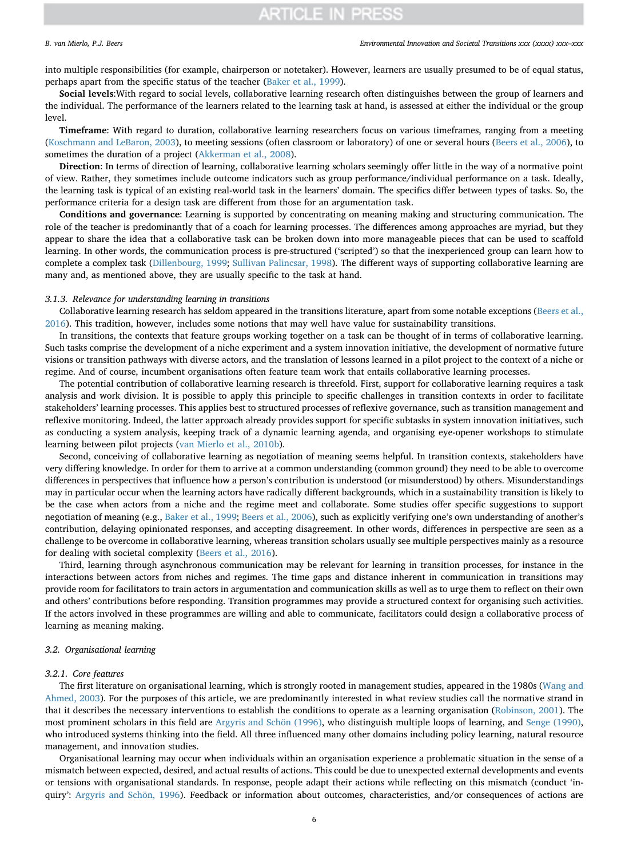#### *B. van Mierlo, P.J. Beers Environmental Innovation and Societal Transitions xxx (xxxx) xxx–xxx*

into multiple responsibilities (for example, chairperson or notetaker). However, learners are usually presumed to be of equal status, perhaps apart from the specific status of the teacher ([Baker et al., 1999](#page-13-19)).

**Social levels**:With regard to social levels, collaborative learning research often distinguishes between the group of learners and the individual. The performance of the learners related to the learning task at hand, is assessed at either the individual or the group level.

**Timeframe**: With regard to duration, collaborative learning researchers focus on various timeframes, ranging from a meeting [\(Koschmann and LeBaron, 2003](#page-13-24)), to meeting sessions (often classroom or laboratory) of one or several hours [\(Beers et al., 2006\)](#page-13-23), to sometimes the duration of a project ([Akkerman et al., 2008\)](#page-12-1).

**Direction**: In terms of direction of learning, collaborative learning scholars seemingly offer little in the way of a normative point of view. Rather, they sometimes include outcome indicators such as group performance/individual performance on a task. Ideally, the learning task is typical of an existing real-world task in the learners' domain. The specifics differ between types of tasks. So, the performance criteria for a design task are different from those for an argumentation task.

**Conditions and governance**: Learning is supported by concentrating on meaning making and structuring communication. The role of the teacher is predominantly that of a coach for learning processes. The differences among approaches are myriad, but they appear to share the idea that a collaborative task can be broken down into more manageable pieces that can be used to scaffold learning. In other words, the communication process is pre-structured ('scripted') so that the inexperienced group can learn how to complete a complex task [\(Dillenbourg, 1999;](#page-13-17) [Sullivan Palincsar, 1998](#page-14-7)). The different ways of supporting collaborative learning are many and, as mentioned above, they are usually specific to the task at hand.

#### *3.1.3. Relevance for understanding learning in transitions*

Collaborative learning research has seldom appeared in the transitions literature, apart from some notable exceptions [\(Beers et al.,](#page-13-25) [2016\)](#page-13-25). This tradition, however, includes some notions that may well have value for sustainability transitions.

In transitions, the contexts that feature groups working together on a task can be thought of in terms of collaborative learning. Such tasks comprise the development of a niche experiment and a system innovation initiative, the development of normative future visions or transition pathways with diverse actors, and the translation of lessons learned in a pilot project to the context of a niche or regime. And of course, incumbent organisations often feature team work that entails collaborative learning processes.

The potential contribution of collaborative learning research is threefold. First, support for collaborative learning requires a task analysis and work division. It is possible to apply this principle to specific challenges in transition contexts in order to facilitate stakeholders' learning processes. This applies best to structured processes of reflexive governance, such as transition management and reflexive monitoring. Indeed, the latter approach already provides support for specific subtasks in system innovation initiatives, such as conducting a system analysis, keeping track of a dynamic learning agenda, and organising eye-opener workshops to stimulate learning between pilot projects [\(van Mierlo et al., 2010b\)](#page-14-10).

Second, conceiving of collaborative learning as negotiation of meaning seems helpful. In transition contexts, stakeholders have very differing knowledge. In order for them to arrive at a common understanding (common ground) they need to be able to overcome differences in perspectives that influence how a person's contribution is understood (or misunderstood) by others. Misunderstandings may in particular occur when the learning actors have radically different backgrounds, which in a sustainability transition is likely to be the case when actors from a niche and the regime meet and collaborate. Some studies offer specific suggestions to support negotiation of meaning (e.g., [Baker et al., 1999;](#page-13-19) [Beers et al., 2006](#page-13-23)), such as explicitly verifying one's own understanding of another's contribution, delaying opinionated responses, and accepting disagreement. In other words, differences in perspective are seen as a challenge to be overcome in collaborative learning, whereas transition scholars usually see multiple perspectives mainly as a resource for dealing with societal complexity ([Beers et al., 2016](#page-13-25)).

Third, learning through asynchronous communication may be relevant for learning in transition processes, for instance in the interactions between actors from niches and regimes. The time gaps and distance inherent in communication in transitions may provide room for facilitators to train actors in argumentation and communication skills as well as to urge them to reflect on their own and others' contributions before responding. Transition programmes may provide a structured context for organising such activities. If the actors involved in these programmes are willing and able to communicate, facilitators could design a collaborative process of learning as meaning making.

#### *3.2. Organisational learning*

#### *3.2.1. Core features*

The first literature on organisational learning, which is strongly rooted in management studies, appeared in the 1980s ([Wang and](#page-14-11) [Ahmed, 2003\)](#page-14-11). For the purposes of this article, we are predominantly interested in what review studies call the normative strand in that it describes the necessary interventions to establish the conditions to operate as a learning organisation ([Robinson, 2001](#page-14-12)). The most prominent scholars in this field are [Argyris and Schön \(1996\),](#page-13-26) who distinguish multiple loops of learning, and [Senge \(1990\),](#page-14-13) who introduced systems thinking into the field. All three influenced many other domains including policy learning, natural resource management, and innovation studies.

Organisational learning may occur when individuals within an organisation experience a problematic situation in the sense of a mismatch between expected, desired, and actual results of actions. This could be due to unexpected external developments and events or tensions with organisational standards. In response, people adapt their actions while reflecting on this mismatch (conduct 'inquiry': [Argyris and Schön, 1996\)](#page-13-26). Feedback or information about outcomes, characteristics, and/or consequences of actions are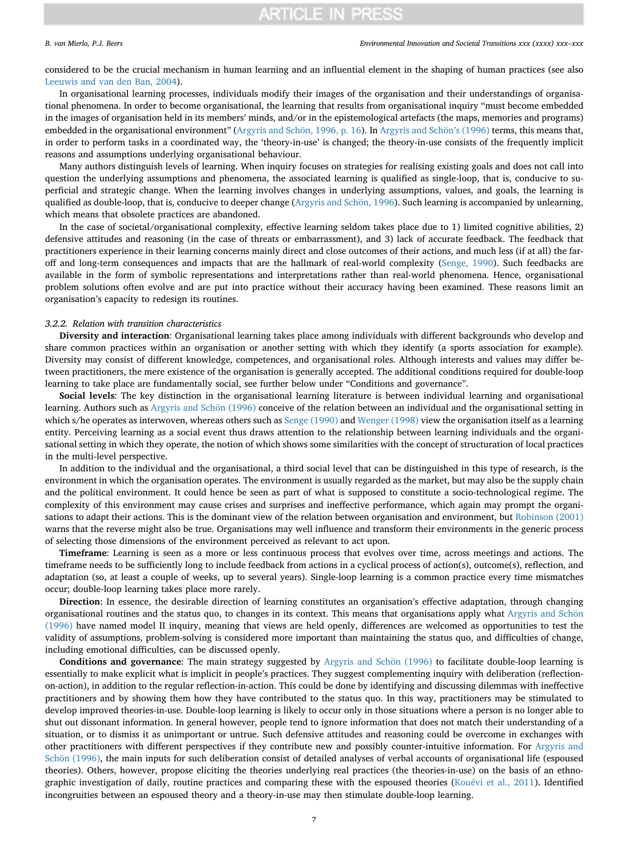considered to be the crucial mechanism in human learning and an influential element in the shaping of human practices (see also [Leeuwis and van den Ban, 2004\)](#page-13-27).

In organisational learning processes, individuals modify their images of the organisation and their understandings of organisational phenomena. In order to become organisational, the learning that results from organisational inquiry "must become embedded in the images of organisation held in its members' minds, and/or in the epistemological artefacts (the maps, memories and programs) embedded in the organisational environment" [\(Argyris and Schön, 1996, p. 16\)](#page-13-26). In [Argyris and Schön's \(1996\)](#page-13-26) terms, this means that, in order to perform tasks in a coordinated way, the 'theory-in-use' is changed; the theory-in-use consists of the frequently implicit reasons and assumptions underlying organisational behaviour.

Many authors distinguish levels of learning. When inquiry focuses on strategies for realising existing goals and does not call into question the underlying assumptions and phenomena, the associated learning is qualified as single-loop, that is, conducive to superficial and strategic change. When the learning involves changes in underlying assumptions, values, and goals, the learning is qualified as double-loop, that is, conducive to deeper change [\(Argyris and Schön, 1996](#page-13-26)). Such learning is accompanied by unlearning, which means that obsolete practices are abandoned.

In the case of societal/organisational complexity, effective learning seldom takes place due to 1) limited cognitive abilities, 2) defensive attitudes and reasoning (in the case of threats or embarrassment), and 3) lack of accurate feedback. The feedback that practitioners experience in their learning concerns mainly direct and close outcomes of their actions, and much less (if at all) the faroff and long-term consequences and impacts that are the hallmark of real-world complexity ([Senge, 1990\)](#page-14-13). Such feedbacks are available in the form of symbolic representations and interpretations rather than real-world phenomena. Hence, organisational problem solutions often evolve and are put into practice without their accuracy having been examined. These reasons limit an organisation's capacity to redesign its routines.

### *3.2.2. Relation with transition characteristics*

**Diversity and interaction**: Organisational learning takes place among individuals with different backgrounds who develop and share common practices within an organisation or another setting with which they identify (a sports association for example). Diversity may consist of different knowledge, competences, and organisational roles. Although interests and values may differ between practitioners, the mere existence of the organisation is generally accepted. The additional conditions required for double-loop learning to take place are fundamentally social, see further below under "Conditions and governance".

**Social levels**: The key distinction in the organisational learning literature is between individual learning and organisational learning. Authors such as [Argyris and Schön \(1996\)](#page-13-26) conceive of the relation between an individual and the organisational setting in which s/he operates as interwoven, whereas others such as [Senge \(1990\)](#page-14-13) and [Wenger \(1998\)](#page-14-14) view the organisation itself as a learning entity. Perceiving learning as a social event thus draws attention to the relationship between learning individuals and the organisational setting in which they operate, the notion of which shows some similarities with the concept of structuration of local practices in the multi-level perspective.

In addition to the individual and the organisational, a third social level that can be distinguished in this type of research, is the environment in which the organisation operates. The environment is usually regarded as the market, but may also be the supply chain and the political environment. It could hence be seen as part of what is supposed to constitute a socio-technological regime. The complexity of this environment may cause crises and surprises and ineffective performance, which again may prompt the organisations to adapt their actions. This is the dominant view of the relation between organisation and environment, but [Robinson \(2001\)](#page-14-12) warns that the reverse might also be true. Organisations may well influence and transform their environments in the generic process of selecting those dimensions of the environment perceived as relevant to act upon.

**Timeframe**: Learning is seen as a more or less continuous process that evolves over time, across meetings and actions. The timeframe needs to be sufficiently long to include feedback from actions in a cyclical process of action(s), outcome(s), reflection, and adaptation (so, at least a couple of weeks, up to several years). Single-loop learning is a common practice every time mismatches occur; double-loop learning takes place more rarely.

**Direction**: In essence, the desirable direction of learning constitutes an organisation's effective adaptation, through changing organisational routines and the status quo, to changes in its context. This means that organisations apply what [Argyris and Schön](#page-13-26) [\(1996\)](#page-13-26) have named model II inquiry, meaning that views are held openly, differences are welcomed as opportunities to test the validity of assumptions, problem-solving is considered more important than maintaining the status quo, and difficulties of change, including emotional difficulties, can be discussed openly.

**Conditions and governance**: The main strategy suggested by [Argyris and Schön \(1996\)](#page-13-26) to facilitate double-loop learning is essentially to make explicit what is implicit in people's practices. They suggest complementing inquiry with deliberation (reflectionon-action), in addition to the regular reflection-in-action. This could be done by identifying and discussing dilemmas with ineffective practitioners and by showing them how they have contributed to the status quo. In this way, practitioners may be stimulated to develop improved theories-in-use. Double-loop learning is likely to occur only in those situations where a person is no longer able to shut out dissonant information. In general however, people tend to ignore information that does not match their understanding of a situation, or to dismiss it as unimportant or untrue. Such defensive attitudes and reasoning could be overcome in exchanges with other practitioners with different perspectives if they contribute new and possibly counter-intuitive information. For [Argyris and](#page-13-26) [Schön \(1996\),](#page-13-26) the main inputs for such deliberation consist of detailed analyses of verbal accounts of organisational life (espoused theories). Others, however, propose eliciting the theories underlying real practices (the theories-in-use) on the basis of an ethnographic investigation of daily, routine practices and comparing these with the espoused theories ([Kouévi et al., 2011\)](#page-13-28). Identified incongruities between an espoused theory and a theory-in-use may then stimulate double-loop learning.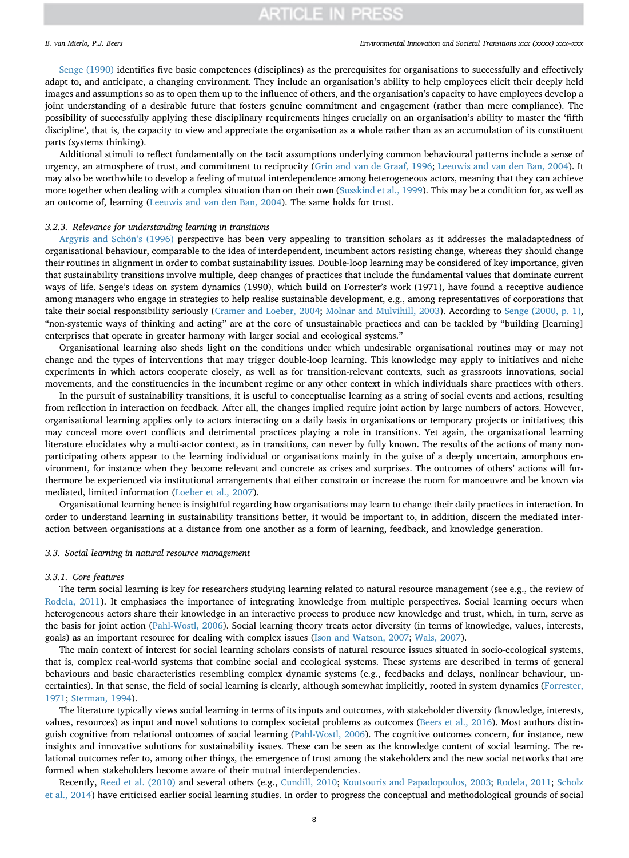#### *B. van Mierlo, P.J. Beers Environmental Innovation and Societal Transitions xxx (xxxx) xxx–xxx*

[Senge \(1990\)](#page-14-13) identifies five basic competences (disciplines) as the prerequisites for organisations to successfully and effectively adapt to, and anticipate, a changing environment. They include an organisation's ability to help employees elicit their deeply held images and assumptions so as to open them up to the influence of others, and the organisation's capacity to have employees develop a joint understanding of a desirable future that fosters genuine commitment and engagement (rather than mere compliance). The possibility of successfully applying these disciplinary requirements hinges crucially on an organisation's ability to master the 'fifth discipline', that is, the capacity to view and appreciate the organisation as a whole rather than as an accumulation of its constituent parts (systems thinking).

Additional stimuli to reflect fundamentally on the tacit assumptions underlying common behavioural patterns include a sense of urgency, an atmosphere of trust, and commitment to reciprocity ([Grin and van de Graaf, 1996](#page-13-29); [Leeuwis and van den Ban, 2004](#page-13-27)). It may also be worthwhile to develop a feeling of mutual interdependence among heterogeneous actors, meaning that they can achieve more together when dealing with a complex situation than on their own [\(Susskind et al., 1999\)](#page-14-15). This may be a condition for, as well as an outcome of, learning ([Leeuwis and van den Ban, 2004\)](#page-13-27). The same holds for trust.

#### *3.2.3. Relevance for understanding learning in transitions*

[Argyris and Schön's \(1996\)](#page-13-26) perspective has been very appealing to transition scholars as it addresses the maladaptedness of organisational behaviour, comparable to the idea of interdependent, incumbent actors resisting change, whereas they should change their routines in alignment in order to combat sustainability issues. Double-loop learning may be considered of key importance, given that sustainability transitions involve multiple, deep changes of practices that include the fundamental values that dominate current ways of life. Senge's ideas on system dynamics (1990), which build on Forrester's work (1971), have found a receptive audience among managers who engage in strategies to help realise sustainable development, e.g., among representatives of corporations that take their social responsibility seriously ([Cramer and Loeber, 2004](#page-13-30); [Molnar and Mulvihill, 2003\)](#page-13-31). According to [Senge \(2000, p. 1\),](#page-14-16) "non-systemic ways of thinking and acting" are at the core of unsustainable practices and can be tackled by "building [learning] enterprises that operate in greater harmony with larger social and ecological systems."

Organisational learning also sheds light on the conditions under which undesirable organisational routines may or may not change and the types of interventions that may trigger double-loop learning. This knowledge may apply to initiatives and niche experiments in which actors cooperate closely, as well as for transition-relevant contexts, such as grassroots innovations, social movements, and the constituencies in the incumbent regime or any other context in which individuals share practices with others.

In the pursuit of sustainability transitions, it is useful to conceptualise learning as a string of social events and actions, resulting from reflection in interaction on feedback. After all, the changes implied require joint action by large numbers of actors. However, organisational learning applies only to actors interacting on a daily basis in organisations or temporary projects or initiatives; this may conceal more overt conflicts and detrimental practices playing a role in transitions. Yet again, the organisational learning literature elucidates why a multi-actor context, as in transitions, can never by fully known. The results of the actions of many nonparticipating others appear to the learning individual or organisations mainly in the guise of a deeply uncertain, amorphous environment, for instance when they become relevant and concrete as crises and surprises. The outcomes of others' actions will furthermore be experienced via institutional arrangements that either constrain or increase the room for manoeuvre and be known via mediated, limited information ([Loeber et al., 2007](#page-13-32)).

Organisational learning hence is insightful regarding how organisations may learn to change their daily practices in interaction. In order to understand learning in sustainability transitions better, it would be important to, in addition, discern the mediated interaction between organisations at a distance from one another as a form of learning, feedback, and knowledge generation.

#### *3.3. Social learning in natural resource management*

#### *3.3.1. Core features*

The term social learning is key for researchers studying learning related to natural resource management (see e.g., the review of [Rodela, 2011\)](#page-14-17). It emphasises the importance of integrating knowledge from multiple perspectives. Social learning occurs when heterogeneous actors share their knowledge in an interactive process to produce new knowledge and trust, which, in turn, serve as the basis for joint action ([Pahl-Wostl, 2006](#page-14-18)). Social learning theory treats actor diversity (in terms of knowledge, values, interests, goals) as an important resource for dealing with complex issues [\(Ison and Watson, 2007](#page-13-33); [Wals, 2007](#page-14-19)).

The main context of interest for social learning scholars consists of natural resource issues situated in socio-ecological systems, that is, complex real-world systems that combine social and ecological systems. These systems are described in terms of general behaviours and basic characteristics resembling complex dynamic systems (e.g., feedbacks and delays, nonlinear behaviour, uncertainties). In that sense, the field of social learning is clearly, although somewhat implicitly, rooted in system dynamics [\(Forrester,](#page-13-34) [1971;](#page-13-34) [Sterman, 1994\)](#page-14-20).

The literature typically views social learning in terms of its inputs and outcomes, with stakeholder diversity (knowledge, interests, values, resources) as input and novel solutions to complex societal problems as outcomes ([Beers et al., 2016](#page-13-25)). Most authors distinguish cognitive from relational outcomes of social learning ([Pahl-Wostl, 2006](#page-14-18)). The cognitive outcomes concern, for instance, new insights and innovative solutions for sustainability issues. These can be seen as the knowledge content of social learning. The relational outcomes refer to, among other things, the emergence of trust among the stakeholders and the new social networks that are formed when stakeholders become aware of their mutual interdependencies.

Recently, [Reed et al. \(2010\)](#page-14-21) and several others (e.g., [Cundill, 2010;](#page-13-35) [Koutsouris and Papadopoulos, 2003](#page-13-36); [Rodela, 2011](#page-14-17); [Scholz](#page-14-22) [et al., 2014](#page-14-22)) have criticised earlier social learning studies. In order to progress the conceptual and methodological grounds of social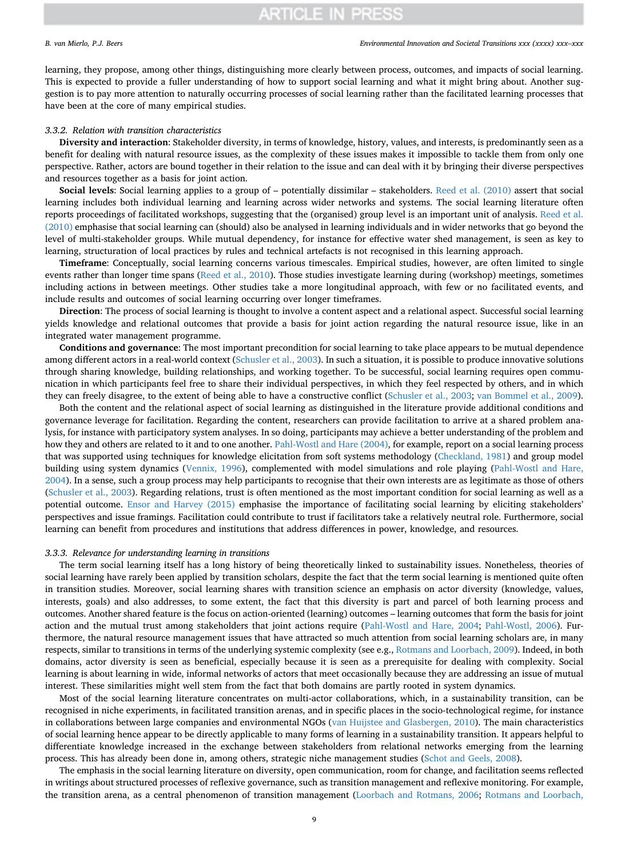learning, they propose, among other things, distinguishing more clearly between process, outcomes, and impacts of social learning. This is expected to provide a fuller understanding of how to support social learning and what it might bring about. Another suggestion is to pay more attention to naturally occurring processes of social learning rather than the facilitated learning processes that have been at the core of many empirical studies.

#### *3.3.2. Relation with transition characteristics*

**Diversity and interaction**: Stakeholder diversity, in terms of knowledge, history, values, and interests, is predominantly seen as a benefit for dealing with natural resource issues, as the complexity of these issues makes it impossible to tackle them from only one perspective. Rather, actors are bound together in their relation to the issue and can deal with it by bringing their diverse perspectives and resources together as a basis for joint action.

**Social levels**: Social learning applies to a group of – potentially dissimilar – stakeholders. [Reed et al. \(2010\)](#page-14-21) assert that social learning includes both individual learning and learning across wider networks and systems. The social learning literature often reports proceedings of facilitated workshops, suggesting that the (organised) group level is an important unit of analysis. [Reed et al.](#page-14-21) [\(2010\)](#page-14-21) emphasise that social learning can (should) also be analysed in learning individuals and in wider networks that go beyond the level of multi-stakeholder groups. While mutual dependency, for instance for effective water shed management, is seen as key to learning, structuration of local practices by rules and technical artefacts is not recognised in this learning approach.

**Timeframe**: Conceptually, social learning concerns various timescales. Empirical studies, however, are often limited to single events rather than longer time spans ([Reed et al., 2010\)](#page-14-21). Those studies investigate learning during (workshop) meetings, sometimes including actions in between meetings. Other studies take a more longitudinal approach, with few or no facilitated events, and include results and outcomes of social learning occurring over longer timeframes.

**Direction**: The process of social learning is thought to involve a content aspect and a relational aspect. Successful social learning yields knowledge and relational outcomes that provide a basis for joint action regarding the natural resource issue, like in an integrated water management programme.

**Conditions and governance**: The most important precondition for social learning to take place appears to be mutual dependence among different actors in a real-world context [\(Schusler et al., 2003\)](#page-14-23). In such a situation, it is possible to produce innovative solutions through sharing knowledge, building relationships, and working together. To be successful, social learning requires open communication in which participants feel free to share their individual perspectives, in which they feel respected by others, and in which they can freely disagree, to the extent of being able to have a constructive conflict [\(Schusler et al., 2003](#page-14-23); [van Bommel et al., 2009](#page-14-24)).

Both the content and the relational aspect of social learning as distinguished in the literature provide additional conditions and governance leverage for facilitation. Regarding the content, researchers can provide facilitation to arrive at a shared problem analysis, for instance with participatory system analyses. In so doing, participants may achieve a better understanding of the problem and how they and others are related to it and to one another. [Pahl-Wostl and Hare \(2004\)](#page-14-25), for example, report on a social learning process that was supported using techniques for knowledge elicitation from soft systems methodology [\(Checkland, 1981\)](#page-13-37) and group model building using system dynamics [\(Vennix, 1996](#page-14-26)), complemented with model simulations and role playing ([Pahl-Wostl and Hare,](#page-14-25) [2004\)](#page-14-25). In a sense, such a group process may help participants to recognise that their own interests are as legitimate as those of others [\(Schusler et al., 2003](#page-14-23)). Regarding relations, trust is often mentioned as the most important condition for social learning as well as a potential outcome. [Ensor and Harvey \(2015\)](#page-13-38) emphasise the importance of facilitating social learning by eliciting stakeholders' perspectives and issue framings. Facilitation could contribute to trust if facilitators take a relatively neutral role. Furthermore, social learning can benefit from procedures and institutions that address differences in power, knowledge, and resources.

#### *3.3.3. Relevance for understanding learning in transitions*

The term social learning itself has a long history of being theoretically linked to sustainability issues. Nonetheless, theories of social learning have rarely been applied by transition scholars, despite the fact that the term social learning is mentioned quite often in transition studies. Moreover, social learning shares with transition science an emphasis on actor diversity (knowledge, values, interests, goals) and also addresses, to some extent, the fact that this diversity is part and parcel of both learning process and outcomes. Another shared feature is the focus on action-oriented (learning) outcomes – learning outcomes that form the basis for joint action and the mutual trust among stakeholders that joint actions require ([Pahl-Wostl and Hare, 2004;](#page-14-25) [Pahl-Wostl, 2006](#page-14-18)). Furthermore, the natural resource management issues that have attracted so much attention from social learning scholars are, in many respects, similar to transitions in terms of the underlying systemic complexity (see e.g., [Rotmans and Loorbach, 2009](#page-14-27)). Indeed, in both domains, actor diversity is seen as beneficial, especially because it is seen as a prerequisite for dealing with complexity. Social learning is about learning in wide, informal networks of actors that meet occasionally because they are addressing an issue of mutual interest. These similarities might well stem from the fact that both domains are partly rooted in system dynamics.

Most of the social learning literature concentrates on multi-actor collaborations, which, in a sustainability transition, can be recognised in niche experiments, in facilitated transition arenas, and in specific places in the socio-technological regime, for instance in collaborations between large companies and environmental NGOs [\(van Huijstee and Glasbergen, 2010](#page-14-28)). The main characteristics of social learning hence appear to be directly applicable to many forms of learning in a sustainability transition. It appears helpful to differentiate knowledge increased in the exchange between stakeholders from relational networks emerging from the learning process. This has already been done in, among others, strategic niche management studies ([Schot and Geels, 2008](#page-14-29)).

The emphasis in the social learning literature on diversity, open communication, room for change, and facilitation seems reflected in writings about structured processes of reflexive governance, such as transition management and reflexive monitoring. For example, the transition arena, as a central phenomenon of transition management [\(Loorbach and Rotmans, 2006;](#page-13-0) [Rotmans and Loorbach,](#page-14-27)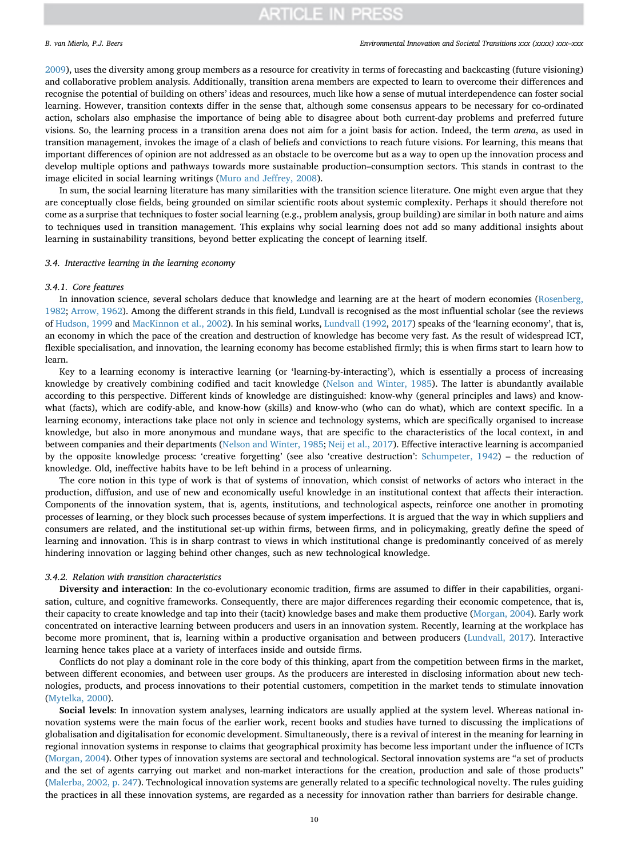#### *B. van Mierlo, P.J. Beers Environmental Innovation and Societal Transitions xxx (xxxx) xxx–xxx*

[2009\)](#page-14-27), uses the diversity among group members as a resource for creativity in terms of forecasting and backcasting (future visioning) and collaborative problem analysis. Additionally, transition arena members are expected to learn to overcome their differences and recognise the potential of building on others' ideas and resources, much like how a sense of mutual interdependence can foster social learning. However, transition contexts differ in the sense that, although some consensus appears to be necessary for co-ordinated action, scholars also emphasise the importance of being able to disagree about both current-day problems and preferred future visions. So, the learning process in a transition arena does not aim for a joint basis for action. Indeed, the term *arena*, as used in transition management, invokes the image of a clash of beliefs and convictions to reach future visions. For learning, this means that important differences of opinion are not addressed as an obstacle to be overcome but as a way to open up the innovation process and develop multiple options and pathways towards more sustainable production–consumption sectors. This stands in contrast to the image elicited in social learning writings [\(Muro and Jeffrey, 2008](#page-13-39)).

In sum, the social learning literature has many similarities with the transition science literature. One might even argue that they are conceptually close fields, being grounded on similar scientific roots about systemic complexity. Perhaps it should therefore not come as a surprise that techniques to foster social learning (e.g., problem analysis, group building) are similar in both nature and aims to techniques used in transition management. This explains why social learning does not add so many additional insights about learning in sustainability transitions, beyond better explicating the concept of learning itself.

### *3.4. Interactive learning in the learning economy*

#### *3.4.1. Core features*

In innovation science, several scholars deduce that knowledge and learning are at the heart of modern economies [\(Rosenberg,](#page-14-30) [1982;](#page-14-30) [Arrow, 1962](#page-13-40)). Among the different strands in this field, Lundvall is recognised as the most influential scholar (see the reviews of [Hudson, 1999](#page-13-41) and [MacKinnon et al., 2002\)](#page-13-42). In his seminal works, [Lundvall \(1992,](#page-13-43) [2017](#page-13-44)) speaks of the 'learning economy', that is, an economy in which the pace of the creation and destruction of knowledge has become very fast. As the result of widespread ICT, flexible specialisation, and innovation, the learning economy has become established firmly; this is when firms start to learn how to learn.

Key to a learning economy is interactive learning (or 'learning-by-interacting'), which is essentially a process of increasing knowledge by creatively combining codified and tacit knowledge ([Nelson and Winter, 1985\)](#page-14-31). The latter is abundantly available according to this perspective. Different kinds of knowledge are distinguished: know-why (general principles and laws) and knowwhat (facts), which are codify-able, and know-how (skills) and know-who (who can do what), which are context specific. In a learning economy, interactions take place not only in science and technology systems, which are specifically organised to increase knowledge, but also in more anonymous and mundane ways, that are specific to the characteristics of the local context, in and between companies and their departments ([Nelson and Winter, 1985](#page-14-31); [Neij et al., 2017](#page-14-32)). Effective interactive learning is accompanied by the opposite knowledge process: 'creative forgetting' (see also 'creative destruction': [Schumpeter, 1942](#page-14-33)) – the reduction of knowledge. Old, ineffective habits have to be left behind in a process of unlearning.

The core notion in this type of work is that of systems of innovation, which consist of networks of actors who interact in the production, diffusion, and use of new and economically useful knowledge in an institutional context that affects their interaction. Components of the innovation system, that is, agents, institutions, and technological aspects, reinforce one another in promoting processes of learning, or they block such processes because of system imperfections. It is argued that the way in which suppliers and consumers are related, and the institutional set-up within firms, between firms, and in policymaking, greatly define the speed of learning and innovation. This is in sharp contrast to views in which institutional change is predominantly conceived of as merely hindering innovation or lagging behind other changes, such as new technological knowledge.

#### *3.4.2. Relation with transition characteristics*

**Diversity and interaction**: In the co-evolutionary economic tradition, firms are assumed to differ in their capabilities, organisation, culture, and cognitive frameworks. Consequently, there are major differences regarding their economic competence, that is, their capacity to create knowledge and tap into their (tacit) knowledge bases and make them productive ([Morgan, 2004](#page-13-45)). Early work concentrated on interactive learning between producers and users in an innovation system. Recently, learning at the workplace has become more prominent, that is, learning within a productive organisation and between producers ([Lundvall, 2017\)](#page-13-44). Interactive learning hence takes place at a variety of interfaces inside and outside firms.

Conflicts do not play a dominant role in the core body of this thinking, apart from the competition between firms in the market, between different economies, and between user groups. As the producers are interested in disclosing information about new technologies, products, and process innovations to their potential customers, competition in the market tends to stimulate innovation [\(Mytelka, 2000](#page-13-46)).

**Social levels**: In innovation system analyses, learning indicators are usually applied at the system level. Whereas national innovation systems were the main focus of the earlier work, recent books and studies have turned to discussing the implications of globalisation and digitalisation for economic development. Simultaneously, there is a revival of interest in the meaning for learning in regional innovation systems in response to claims that geographical proximity has become less important under the influence of ICTs [\(Morgan, 2004\)](#page-13-45). Other types of innovation systems are sectoral and technological. Sectoral innovation systems are "a set of products and the set of agents carrying out market and non-market interactions for the creation, production and sale of those products" [\(Malerba, 2002, p. 247](#page-13-47)). Technological innovation systems are generally related to a specific technological novelty. The rules guiding the practices in all these innovation systems, are regarded as a necessity for innovation rather than barriers for desirable change.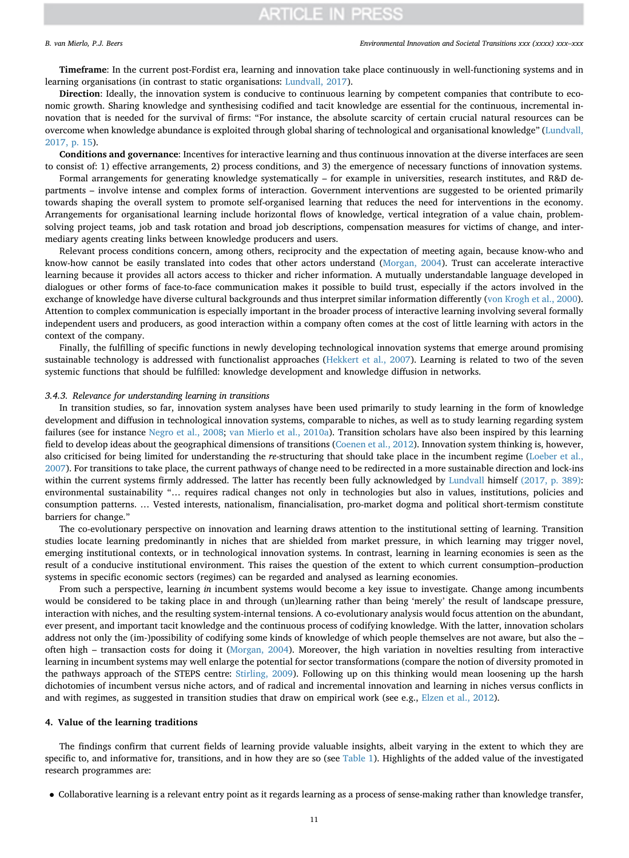**Timeframe**: In the current post-Fordist era, learning and innovation take place continuously in well-functioning systems and in learning organisations (in contrast to static organisations: [Lundvall, 2017\)](#page-13-44).

**Direction**: Ideally, the innovation system is conducive to continuous learning by competent companies that contribute to economic growth. Sharing knowledge and synthesising codified and tacit knowledge are essential for the continuous, incremental innovation that is needed for the survival of firms: "For instance, the absolute scarcity of certain crucial natural resources can be overcome when knowledge abundance is exploited through global sharing of technological and organisational knowledge" [\(Lundvall,](#page-13-44) [2017, p. 15](#page-13-44)).

**Conditions and governance**: Incentives for interactive learning and thus continuous innovation at the diverse interfaces are seen to consist of: 1) effective arrangements, 2) process conditions, and 3) the emergence of necessary functions of innovation systems.

Formal arrangements for generating knowledge systematically – for example in universities, research institutes, and R&D departments – involve intense and complex forms of interaction. Government interventions are suggested to be oriented primarily towards shaping the overall system to promote self-organised learning that reduces the need for interventions in the economy. Arrangements for organisational learning include horizontal flows of knowledge, vertical integration of a value chain, problemsolving project teams, job and task rotation and broad job descriptions, compensation measures for victims of change, and intermediary agents creating links between knowledge producers and users.

Relevant process conditions concern, among others, reciprocity and the expectation of meeting again, because know-who and know-how cannot be easily translated into codes that other actors understand ([Morgan, 2004](#page-13-45)). Trust can accelerate interactive learning because it provides all actors access to thicker and richer information. A mutually understandable language developed in dialogues or other forms of face-to-face communication makes it possible to build trust, especially if the actors involved in the exchange of knowledge have diverse cultural backgrounds and thus interpret similar information differently [\(von Krogh et al., 2000](#page-14-34)). Attention to complex communication is especially important in the broader process of interactive learning involving several formally independent users and producers, as good interaction within a company often comes at the cost of little learning with actors in the context of the company.

Finally, the fulfilling of specific functions in newly developing technological innovation systems that emerge around promising sustainable technology is addressed with functionalist approaches ([Hekkert et al., 2007](#page-13-7)). Learning is related to two of the seven systemic functions that should be fulfilled: knowledge development and knowledge diffusion in networks.

#### *3.4.3. Relevance for understanding learning in transitions*

In transition studies, so far, innovation system analyses have been used primarily to study learning in the form of knowledge development and diffusion in technological innovation systems, comparable to niches, as well as to study learning regarding system failures (see for instance [Negro et al., 2008;](#page-13-48) [van Mierlo et al., 2010a\)](#page-14-35). Transition scholars have also been inspired by this learning field to develop ideas about the geographical dimensions of transitions ([Coenen et al., 2012](#page-13-49)). Innovation system thinking is, however, also criticised for being limited for understanding the *re*-structuring that should take place in the incumbent regime [\(Loeber et al.,](#page-13-32) [2007\)](#page-13-32). For transitions to take place, the current pathways of change need to be redirected in a more sustainable direction and lock-ins within the current systems firmly addressed. The latter has recently been fully acknowledged by [Lundvall](#page-13-44) himself [\(2017, p. 389\):](#page-13-44) environmental sustainability "… requires radical changes not only in technologies but also in values, institutions, policies and consumption patterns. … Vested interests, nationalism, financialisation, pro-market dogma and political short-termism constitute barriers for change."

The co-evolutionary perspective on innovation and learning draws attention to the institutional setting of learning. Transition studies locate learning predominantly in niches that are shielded from market pressure, in which learning may trigger novel, emerging institutional contexts, or in technological innovation systems. In contrast, learning in learning economies is seen as the result of a conducive institutional environment. This raises the question of the extent to which current consumption–production systems in specific economic sectors (regimes) can be regarded and analysed as learning economies.

From such a perspective, learning *in* incumbent systems would become a key issue to investigate. Change among incumbents would be considered to be taking place in and through (un)learning rather than being 'merely' the result of landscape pressure, interaction with niches, and the resulting system-internal tensions. A co-evolutionary analysis would focus attention on the abundant, ever present, and important tacit knowledge and the continuous process of codifying knowledge. With the latter, innovation scholars address not only the (im-)possibility of codifying some kinds of knowledge of which people themselves are not aware, but also the – often high – transaction costs for doing it [\(Morgan, 2004\)](#page-13-45). Moreover, the high variation in novelties resulting from interactive learning in incumbent systems may well enlarge the potential for sector transformations (compare the notion of diversity promoted in the pathways approach of the STEPS centre: [Stirling, 2009\)](#page-14-5). Following up on this thinking would mean loosening up the harsh dichotomies of incumbent versus niche actors, and of radical and incremental innovation and learning in niches versus conflicts in and with regimes, as suggested in transition studies that draw on empirical work (see e.g., [Elzen et al., 2012\)](#page-13-15).

#### <span id="page-10-0"></span>**4. Value of the learning traditions**

The findings confirm that current fields of learning provide valuable insights, albeit varying in the extent to which they are specific to, and informative for, transitions, and in how they are so (see [Table 1](#page-4-0)). Highlights of the added value of the investigated research programmes are:

<sup>•</sup> Collaborative learning is a relevant entry point as it regards learning as a process of sense-making rather than knowledge transfer,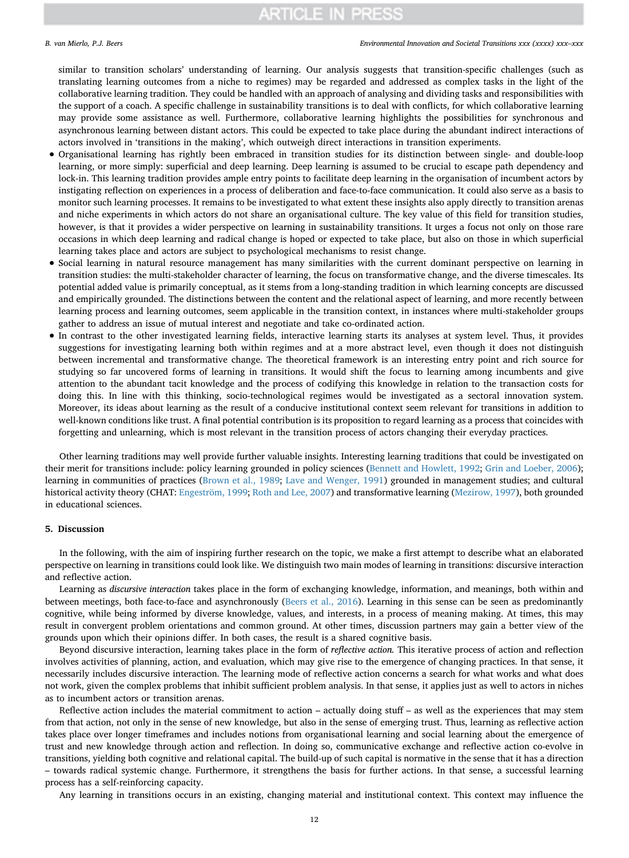#### *B. van Mierlo, P.J. Beers Environmental Innovation and Societal Transitions xxx (xxxx) xxx–xxx*

similar to transition scholars' understanding of learning. Our analysis suggests that transition-specific challenges (such as translating learning outcomes from a niche to regimes) may be regarded and addressed as complex tasks in the light of the collaborative learning tradition. They could be handled with an approach of analysing and dividing tasks and responsibilities with the support of a coach. A specific challenge in sustainability transitions is to deal with conflicts, for which collaborative learning may provide some assistance as well. Furthermore, collaborative learning highlights the possibilities for synchronous and asynchronous learning between distant actors. This could be expected to take place during the abundant indirect interactions of actors involved in 'transitions in the making', which outweigh direct interactions in transition experiments.

- Organisational learning has rightly been embraced in transition studies for its distinction between single- and double-loop learning, or more simply: superficial and deep learning. Deep learning is assumed to be crucial to escape path dependency and lock-in. This learning tradition provides ample entry points to facilitate deep learning in the organisation of incumbent actors by instigating reflection on experiences in a process of deliberation and face-to-face communication. It could also serve as a basis to monitor such learning processes. It remains to be investigated to what extent these insights also apply directly to transition arenas and niche experiments in which actors do not share an organisational culture. The key value of this field for transition studies, however, is that it provides a wider perspective on learning in sustainability transitions. It urges a focus not only on those rare occasions in which deep learning and radical change is hoped or expected to take place, but also on those in which superficial learning takes place and actors are subject to psychological mechanisms to resist change.
- Social learning in natural resource management has many similarities with the current dominant perspective on learning in transition studies: the multi-stakeholder character of learning, the focus on transformative change, and the diverse timescales. Its potential added value is primarily conceptual, as it stems from a long-standing tradition in which learning concepts are discussed and empirically grounded. The distinctions between the content and the relational aspect of learning, and more recently between learning process and learning outcomes, seem applicable in the transition context, in instances where multi-stakeholder groups gather to address an issue of mutual interest and negotiate and take co-ordinated action.
- In contrast to the other investigated learning fields, interactive learning starts its analyses at system level. Thus, it provides suggestions for investigating learning both within regimes and at a more abstract level, even though it does not distinguish between incremental and transformative change. The theoretical framework is an interesting entry point and rich source for studying so far uncovered forms of learning in transitions. It would shift the focus to learning among incumbents and give attention to the abundant tacit knowledge and the process of codifying this knowledge in relation to the transaction costs for doing this. In line with this thinking, socio-technological regimes would be investigated as a sectoral innovation system. Moreover, its ideas about learning as the result of a conducive institutional context seem relevant for transitions in addition to well-known conditions like trust. A final potential contribution is its proposition to regard learning as a process that coincides with forgetting and unlearning, which is most relevant in the transition process of actors changing their everyday practices.

Other learning traditions may well provide further valuable insights. Interesting learning traditions that could be investigated on their merit for transitions include: policy learning grounded in policy sciences [\(Bennett and Howlett, 1992;](#page-13-50) [Grin and Loeber, 2006](#page-13-51)); learning in communities of practices [\(Brown et al., 1989](#page-13-52); [Lave and Wenger, 1991](#page-13-53)) grounded in management studies; and cultural historical activity theory (CHAT: [Engeström, 1999](#page-13-54); [Roth and Lee, 2007](#page-14-36)) and transformative learning ([Mezirow, 1997\)](#page-13-55), both grounded in educational sciences.

### **5. Discussion**

In the following, with the aim of inspiring further research on the topic, we make a first attempt to describe what an elaborated perspective on learning in transitions could look like. We distinguish two main modes of learning in transitions: discursive interaction and reflective action.

Learning as *discursive interaction* takes place in the form of exchanging knowledge, information, and meanings, both within and between meetings, both face-to-face and asynchronously [\(Beers et al., 2016\)](#page-13-25). Learning in this sense can be seen as predominantly cognitive, while being informed by diverse knowledge, values, and interests, in a process of meaning making. At times, this may result in convergent problem orientations and common ground. At other times, discussion partners may gain a better view of the grounds upon which their opinions differ. In both cases, the result is a shared cognitive basis.

Beyond discursive interaction, learning takes place in the form of *reflective action.* This iterative process of action and reflection involves activities of planning, action, and evaluation, which may give rise to the emergence of changing practices. In that sense, it necessarily includes discursive interaction. The learning mode of reflective action concerns a search for what works and what does not work, given the complex problems that inhibit sufficient problem analysis. In that sense, it applies just as well to actors in niches as to incumbent actors or transition arenas.

Reflective action includes the material commitment to action – actually doing stuff – as well as the experiences that may stem from that action, not only in the sense of new knowledge, but also in the sense of emerging trust. Thus, learning as reflective action takes place over longer timeframes and includes notions from organisational learning and social learning about the emergence of trust and new knowledge through action and reflection. In doing so, communicative exchange and reflective action co-evolve in transitions, yielding both cognitive and relational capital. The build-up of such capital is normative in the sense that it has a direction – towards radical systemic change. Furthermore, it strengthens the basis for further actions. In that sense, a successful learning process has a self-reinforcing capacity.

Any learning in transitions occurs in an existing, changing material and institutional context. This context may influence the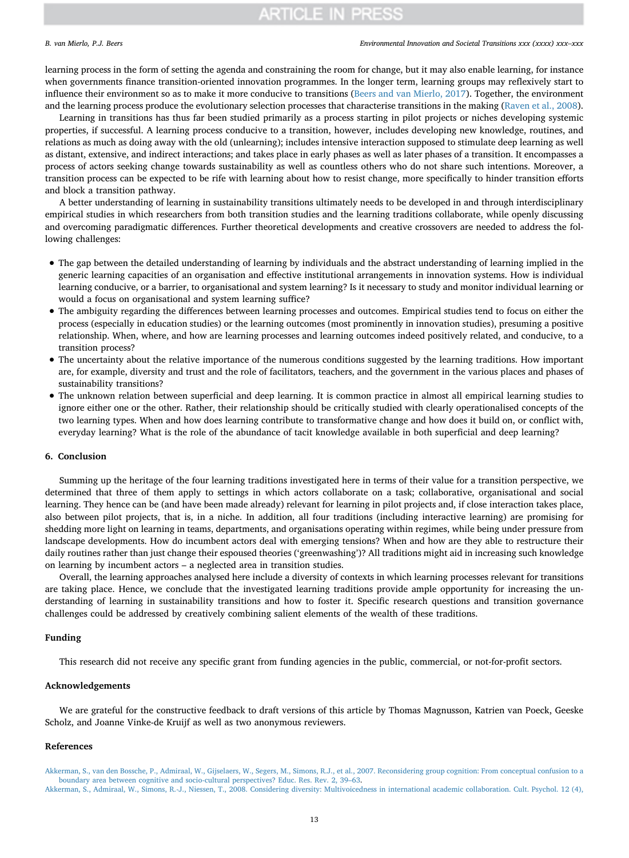#### *B. van Mierlo, P.J. Beers Environmental Innovation and Societal Transitions xxx (xxxx) xxx–xxx*

learning process in the form of setting the agenda and constraining the room for change, but it may also enable learning, for instance when governments finance transition-oriented innovation programmes. In the longer term, learning groups may reflexively start to influence their environment so as to make it more conducive to transitions ([Beers and van Mierlo, 2017\)](#page-13-14). Together, the environment and the learning process produce the evolutionary selection processes that characterise transitions in the making ([Raven et al., 2008](#page-14-0)).

Learning in transitions has thus far been studied primarily as a process starting in pilot projects or niches developing systemic properties, if successful. A learning process conducive to a transition, however, includes developing new knowledge, routines, and relations as much as doing away with the old (unlearning); includes intensive interaction supposed to stimulate deep learning as well as distant, extensive, and indirect interactions; and takes place in early phases as well as later phases of a transition. It encompasses a process of actors seeking change towards sustainability as well as countless others who do not share such intentions. Moreover, a transition process can be expected to be rife with learning about how to resist change, more specifically to hinder transition efforts and block a transition pathway.

A better understanding of learning in sustainability transitions ultimately needs to be developed in and through interdisciplinary empirical studies in which researchers from both transition studies and the learning traditions collaborate, while openly discussing and overcoming paradigmatic differences. Further theoretical developments and creative crossovers are needed to address the following challenges:

- The gap between the detailed understanding of learning by individuals and the abstract understanding of learning implied in the generic learning capacities of an organisation and effective institutional arrangements in innovation systems. How is individual learning conducive, or a barrier, to organisational and system learning? Is it necessary to study and monitor individual learning or would a focus on organisational and system learning suffice?
- The ambiguity regarding the differences between learning processes and outcomes. Empirical studies tend to focus on either the process (especially in education studies) or the learning outcomes (most prominently in innovation studies), presuming a positive relationship. When, where, and how are learning processes and learning outcomes indeed positively related, and conducive, to a transition process?
- The uncertainty about the relative importance of the numerous conditions suggested by the learning traditions. How important are, for example, diversity and trust and the role of facilitators, teachers, and the government in the various places and phases of sustainability transitions?
- The unknown relation between superficial and deep learning. It is common practice in almost all empirical learning studies to ignore either one or the other. Rather, their relationship should be critically studied with clearly operationalised concepts of the two learning types. When and how does learning contribute to transformative change and how does it build on, or conflict with, everyday learning? What is the role of the abundance of tacit knowledge available in both superficial and deep learning?

#### **6. Conclusion**

Summing up the heritage of the four learning traditions investigated here in terms of their value for a transition perspective, we determined that three of them apply to settings in which actors collaborate on a task; collaborative, organisational and social learning. They hence can be (and have been made already) relevant for learning in pilot projects and, if close interaction takes place, also between pilot projects, that is, in a niche. In addition, all four traditions (including interactive learning) are promising for shedding more light on learning in teams, departments, and organisations operating within regimes, while being under pressure from landscape developments. How do incumbent actors deal with emerging tensions? When and how are they able to restructure their daily routines rather than just change their espoused theories ('greenwashing')? All traditions might aid in increasing such knowledge on learning by incumbent actors – a neglected area in transition studies.

Overall, the learning approaches analysed here include a diversity of contexts in which learning processes relevant for transitions are taking place. Hence, we conclude that the investigated learning traditions provide ample opportunity for increasing the understanding of learning in sustainability transitions and how to foster it. Specific research questions and transition governance challenges could be addressed by creatively combining salient elements of the wealth of these traditions.

### **Funding**

This research did not receive any specific grant from funding agencies in the public, commercial, or not-for-profit sectors.

### **Acknowledgements**

We are grateful for the constructive feedback to draft versions of this article by Thomas Magnusson, Katrien van Poeck, Geeske Scholz, and Joanne Vinke-de Kruijf as well as two anonymous reviewers.

#### **References**

<span id="page-12-1"></span><span id="page-12-0"></span>[Akkerman, S., van den Bossche, P., Admiraal, W., Gijselaers, W., Segers, M., Simons, R.J., et al., 2007. Reconsidering group cognition: From conceptual confusion to a](http://refhub.elsevier.com/S2210-4224(17)30198-3/sbref0005) [boundary area between cognitive and socio-cultural perspectives? Educ. Res. Rev. 2, 39–63](http://refhub.elsevier.com/S2210-4224(17)30198-3/sbref0005). [Akkerman, S., Admiraal, W., Simons, R.-J., Niessen, T., 2008. Considering diversity: Multivoicedness in international academic collaboration. Cult. Psychol. 12 \(4\),](http://refhub.elsevier.com/S2210-4224(17)30198-3/sbref0010)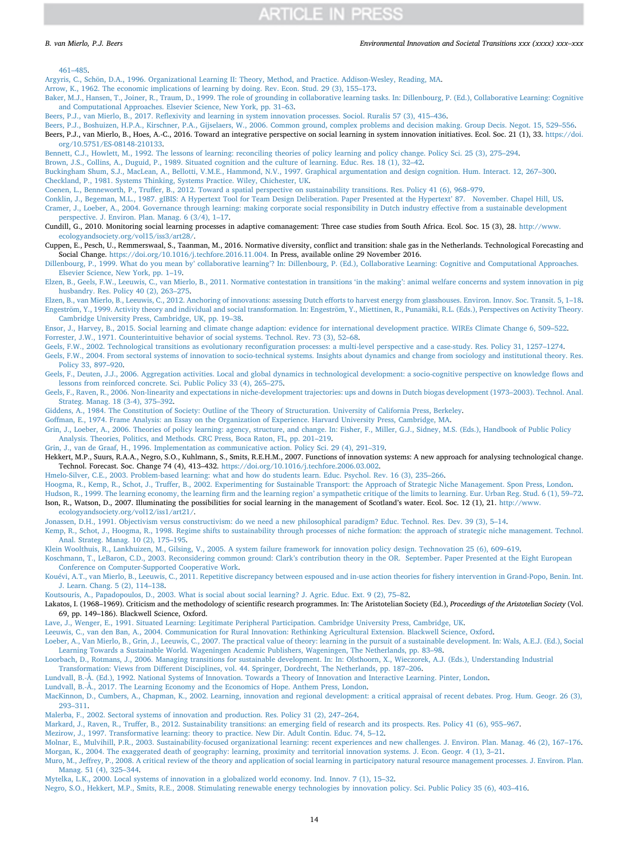#### [461–485.](http://refhub.elsevier.com/S2210-4224(17)30198-3/sbref0010)

<span id="page-13-26"></span>[Argyris, C., Schön, D.A., 1996. Organizational Learning II: Theory, Method, and Practice. Addison-Wesley, Reading, MA.](http://refhub.elsevier.com/S2210-4224(17)30198-3/sbref0015)

<span id="page-13-40"></span>[Arrow, K., 1962. The economic implications of learning by doing. Rev. Econ. Stud. 29 \(3\), 155–173](http://refhub.elsevier.com/S2210-4224(17)30198-3/sbref0020).

<span id="page-13-19"></span>[Baker, M.J., Hansen, T., Joiner, R., Traum, D., 1999. The role of grounding in collaborative learning tasks. In: Dillenbourg, P. \(Ed.\), Collaborative Learning: Cognitive](http://refhub.elsevier.com/S2210-4224(17)30198-3/sbref0025) [and Computational Approaches. Elsevier Science, New York, pp. 31–63](http://refhub.elsevier.com/S2210-4224(17)30198-3/sbref0025).

<span id="page-13-14"></span>[Beers, P.J., van Mierlo, B., 2017. Reflexivity and learning in system innovation processes. Sociol. Ruralis 57 \(3\), 415–436](http://refhub.elsevier.com/S2210-4224(17)30198-3/sbref0030).

<span id="page-13-23"></span>[Beers, P.J., Boshuizen, H.P.A., Kirschner, P.A., Gijselaers, W., 2006. Common ground, complex problems and decision making. Group Decis. Negot. 15, 529–556.](http://refhub.elsevier.com/S2210-4224(17)30198-3/sbref0035)

<span id="page-13-25"></span>Beers, P.J., van Mierlo, B., Hoes, A.-C., 2016. Toward an integrative perspective on social learning in system innovation initiatives. Ecol. Soc. 21 (1), 33. [https://doi.](https://doi.org/10.5751/ES-08148-210133) [org/10.5751/ES-08148-210133](https://doi.org/10.5751/ES-08148-210133).

<span id="page-13-50"></span>[Bennett, C.J., Howlett, M., 1992. The lessons of learning: reconciling theories of policy learning and policy change. Policy Sci. 25 \(3\), 275–294.](http://refhub.elsevier.com/S2210-4224(17)30198-3/sbref0045)

<span id="page-13-52"></span>[Brown, J.S., Collins, A., Duguid, P., 1989. Situated cognition and the culture of learning. Educ. Res. 18 \(1\), 32–42.](http://refhub.elsevier.com/S2210-4224(17)30198-3/sbref0050)

<span id="page-13-37"></span><span id="page-13-21"></span>[Buckingham Shum, S.J., MacLean, A., Bellotti, V.M.E., Hammond, N.V., 1997. Graphical argumentation and design cognition. Hum. Interact. 12, 267–300](http://refhub.elsevier.com/S2210-4224(17)30198-3/sbref0055). [Checkland, P., 1981. Systems Thinking, Systems Practice. Wiley, Chichester, UK](http://refhub.elsevier.com/S2210-4224(17)30198-3/sbref0060).

<span id="page-13-49"></span>[Coenen, L., Benneworth, P., Truffer, B., 2012. Toward a spatial perspective on sustainability transitions. Res. Policy 41 \(6\), 968–979.](http://refhub.elsevier.com/S2210-4224(17)30198-3/sbref0065)

<span id="page-13-22"></span>[Conklin, J., Begeman, M.L., 1987. gIBIS: A Hypertext Tool for Team Design Deliberation. Paper Presented at the Hypertext' 87. November. Chapel Hill, US](http://refhub.elsevier.com/S2210-4224(17)30198-3/sbref0070).

<span id="page-13-30"></span>[Cramer, J., Loeber, A., 2004. Governance through learning: making corporate social responsibility in Dutch industry effective from a sustainable development](http://refhub.elsevier.com/S2210-4224(17)30198-3/sbref0075) [perspective. J. Environ. Plan. Manag. 6 \(3/4\), 1–17.](http://refhub.elsevier.com/S2210-4224(17)30198-3/sbref0075)

<span id="page-13-35"></span>Cundill, G., 2010. Monitoring social learning processes in adaptive comanagement: Three case studies from South Africa. Ecol. Soc. 15 (3), 28. [http://www.](http://www.ecologyandsociety.org/vol15/iss3/art28/) [ecologyandsociety.org/vol15/iss3/art28/.](http://www.ecologyandsociety.org/vol15/iss3/art28/)

<span id="page-13-9"></span>Cuppen, E., Pesch, U., Remmerswaal, S., Taanman, M., 2016. Normative diversity, conflict and transition: shale gas in the Netherlands. Technological Forecasting and Social Change. [https://doi.org/10.1016/j.techfore.2016.11.004.](https://doi.org/10.1016/j.techfore.2016.11.004) In Press, available online 29 November 2016.

<span id="page-13-17"></span>[Dillenbourg, P., 1999. What do you mean by' collaborative learning'? In: Dillenbourg, P. \(Ed.\), Collaborative Learning: Cognitive and Computational Approaches.](http://refhub.elsevier.com/S2210-4224(17)30198-3/sbref0090) [Elsevier Science, New York, pp. 1–19](http://refhub.elsevier.com/S2210-4224(17)30198-3/sbref0090).

<span id="page-13-16"></span>[Elzen, B., Geels, F.W., Leeuwis, C., van Mierlo, B., 2011. Normative contestation in transitions 'in the making': animal welfare concerns and system innovation in pig](http://refhub.elsevier.com/S2210-4224(17)30198-3/sbref0095) [husbandry. Res. Policy 40 \(2\), 263–275](http://refhub.elsevier.com/S2210-4224(17)30198-3/sbref0095).

<span id="page-13-54"></span><span id="page-13-15"></span>[Elzen, B., van Mierlo, B., Leeuwis, C., 2012. Anchoring of innovations: assessing Dutch efforts to harvest energy from glasshouses. Environ. Innov. Soc. Transit. 5, 1–18](http://refhub.elsevier.com/S2210-4224(17)30198-3/sbref0100). [Engeström, Y., 1999. Activity theory and individual and social transformation. In: Engeström, Y., Miettinen, R., Punamäki, R.L. \(Eds.\), Perspectives on Activity Theory.](http://refhub.elsevier.com/S2210-4224(17)30198-3/sbref0105) [Cambridge University Press, Cambridge, UK, pp. 19–38.](http://refhub.elsevier.com/S2210-4224(17)30198-3/sbref0105)

<span id="page-13-38"></span><span id="page-13-34"></span>[Ensor, J., Harvey, B., 2015. Social learning and climate change adaption: evidence for international development practice. WIREs Climate Change 6, 509–522.](http://refhub.elsevier.com/S2210-4224(17)30198-3/sbref0110) [Forrester, J.W., 1971. Counterintuitive behavior of social systems. Technol. Rev. 73 \(3\), 52–68](http://refhub.elsevier.com/S2210-4224(17)30198-3/sbref0115).

<span id="page-13-10"></span>[Geels, F.W., 2002. Technological transitions as evolutionary reconfiguration processes: a multi-level perspective and a case-study. Res. Policy 31, 1257–1274.](http://refhub.elsevier.com/S2210-4224(17)30198-3/sbref0120)

<span id="page-13-11"></span>[Geels, F.W., 2004. From sectoral systems of innovation to socio-technical systems. Insights about dynamics and change from sociology and institutional theory. Res.](http://refhub.elsevier.com/S2210-4224(17)30198-3/sbref0125) [Policy 33, 897–920](http://refhub.elsevier.com/S2210-4224(17)30198-3/sbref0125).

- <span id="page-13-1"></span>[Geels, F., Deuten, J.J., 2006. Aggregation activities. Local and global dynamics in technological development: a socio-cognitive perspective on knowledge flows and](http://refhub.elsevier.com/S2210-4224(17)30198-3/sbref0130) [lessons from reinforced concrete. Sci. Public Policy 33 \(4\), 265–275.](http://refhub.elsevier.com/S2210-4224(17)30198-3/sbref0130)
- <span id="page-13-6"></span>[Geels, F., Raven, R., 2006. Non-linearity and expectations in niche-development trajectories: ups and downs in Dutch biogas development \(1973–2003\). Technol. Anal.](http://refhub.elsevier.com/S2210-4224(17)30198-3/sbref0135) [Strateg. Manag. 18 \(3-4\), 375–392.](http://refhub.elsevier.com/S2210-4224(17)30198-3/sbref0135)

<span id="page-13-12"></span>[Giddens, A., 1984. The Constitution of Society: Outline of the Theory of Structuration. University of California Press, Berkeley.](http://refhub.elsevier.com/S2210-4224(17)30198-3/sbref0140)

<span id="page-13-4"></span>[Goffman, E., 1974. Frame Analysis: an Essay on the Organization of Experience. Harvard University Press, Cambridge, MA](http://refhub.elsevier.com/S2210-4224(17)30198-3/sbref0145).

<span id="page-13-51"></span>[Grin, J., Loeber, A., 2006. Theories of policy learning: agency, structure, and change. In: Fisher, F., Miller, G.J., Sidney, M.S. \(Eds.\), Handbook of Public Policy](http://refhub.elsevier.com/S2210-4224(17)30198-3/sbref0150) [Analysis. Theories, Politics, and Methods. CRC Press, Boca Raton, FL, pp. 201–219.](http://refhub.elsevier.com/S2210-4224(17)30198-3/sbref0150)

<span id="page-13-29"></span>[Grin, J., van de Graaf, H., 1996. Implementation as communicative action. Policy Sci. 29 \(4\), 291–319.](http://refhub.elsevier.com/S2210-4224(17)30198-3/sbref0155)

<span id="page-13-7"></span>Hekkert, M.P., Suurs, R.A.A., Negro, S.O., Kuhlmann, S., Smits, R.E.H.M., 2007. Functions of innovation systems: A new approach for analysing technological change. Technol. Forecast. Soc. Change 74 (4), 413–432. [https://doi.org/10.1016/j.techfore.2006.03.002.](https://doi.org/10.1016/j.techfore.2006.03.002)

<span id="page-13-20"></span>[Hmelo-Silver, C.E., 2003. Problem-based learning: what and how do students learn. Educ. Psychol. Rev. 16 \(3\), 235–266](http://refhub.elsevier.com/S2210-4224(17)30198-3/sbref0165).

<span id="page-13-8"></span>[Hoogma, R., Kemp, R., Schot, J., Truffer, B., 2002. Experimenting for Sustainable Transport: the Approach of Strategic Niche Management. Spon Press, London.](http://refhub.elsevier.com/S2210-4224(17)30198-3/sbref0170)

<span id="page-13-41"></span>[Hudson, R., 1999. The learning economy, the learning firm and the learning region' a sympathetic critique of the limits to learning. Eur. Urban Reg. Stud. 6 \(1\), 59–72](http://refhub.elsevier.com/S2210-4224(17)30198-3/sbref0175).

### <span id="page-13-33"></span>Ison, R., Watson, D., 2007. Illuminating the possibilities for social learning in the management of Scotland's water. Ecol. Soc. 12 (1), 21. [http://www.](http://www.ecologyandsociety.org/vol12/iss1/art21/)

[ecologyandsociety.org/vol12/iss1/art21/.](http://www.ecologyandsociety.org/vol12/iss1/art21/)

<span id="page-13-18"></span>[Jonassen, D.H., 1991. Objectivism versus constructivism: do we need a new philosophical paradigm? Educ. Technol. Res. Dev. 39 \(3\), 5–14](http://refhub.elsevier.com/S2210-4224(17)30198-3/sbref0185).

<span id="page-13-2"></span>[Kemp, R., Schot, J., Hoogma, R., 1998. Regime shifts to sustainability through processes of niche formation: the approach of strategic niche management. Technol.](http://refhub.elsevier.com/S2210-4224(17)30198-3/sbref0190) [Anal. Strateg. Manag. 10 \(2\), 175–195.](http://refhub.elsevier.com/S2210-4224(17)30198-3/sbref0190)

<span id="page-13-13"></span>[Klein Woolthuis, R., Lankhuizen, M., Gilsing, V., 2005. A system failure framework for innovation policy design. Technovation 25 \(6\), 609–619.](http://refhub.elsevier.com/S2210-4224(17)30198-3/sbref0195)

<span id="page-13-24"></span>[Koschmann, T., LeBaron, C.D., 2003. Reconsidering common ground: Clark's contribution theory in the OR. September. Paper Presented at the Eight European](http://refhub.elsevier.com/S2210-4224(17)30198-3/sbref0200) [Conference on Computer-Supported Cooperative Work](http://refhub.elsevier.com/S2210-4224(17)30198-3/sbref0200).

<span id="page-13-28"></span>[Kouévi, A.T., van Mierlo, B., Leeuwis, C., 2011. Repetitive discrepancy between espoused and in-use action theories for fishery intervention in Grand-Popo, Benin. Int.](http://refhub.elsevier.com/S2210-4224(17)30198-3/sbref0205) [J. Learn. Chang. 5 \(2\), 114–138](http://refhub.elsevier.com/S2210-4224(17)30198-3/sbref0205).

<span id="page-13-36"></span>[Koutsouris, A., Papadopoulos, D., 2003. What is social about social learning? J. Agric. Educ. Ext. 9 \(2\), 75–82.](http://refhub.elsevier.com/S2210-4224(17)30198-3/sbref0210)

<span id="page-13-3"></span>Lakatos, I. (1968–1969). Criticism and the methodology of scientific research programmes. In: The Aristotelian Society (Ed.), *Proceedings of the Aristotelian Society* (Vol. 69, pp. 149–186). Blackwell Science, Oxford.

<span id="page-13-53"></span>[Lave, J., Wenger, E., 1991. Situated Learning: Legitimate Peripheral Participation. Cambridge University Press, Cambridge, UK](http://refhub.elsevier.com/S2210-4224(17)30198-3/sbref0220).

<span id="page-13-27"></span>[Leeuwis, C., van den Ban, A., 2004. Communication for Rural Innovation: Rethinking Agricultural Extension. Blackwell Science, Oxford.](http://refhub.elsevier.com/S2210-4224(17)30198-3/sbref0225)

<span id="page-13-32"></span>[Loeber, A., Van Mierlo, B., Grin, J., Leeuwis, C., 2007. The practical value of theory: learning in the pursuit of a sustainable development. In: Wals, A.E.J. \(Ed.\), Social](http://refhub.elsevier.com/S2210-4224(17)30198-3/sbref0230) [Learning Towards a Sustainable World. Wageningen Academic Publishers, Wageningen, The Netherlands, pp. 83–98.](http://refhub.elsevier.com/S2210-4224(17)30198-3/sbref0230)

<span id="page-13-0"></span>[Loorbach, D., Rotmans, J., 2006. Managing transitions for sustainable development. In: In: Olsthoorn, X., Wieczorek, A.J. \(Eds.\), Understanding Industrial](http://refhub.elsevier.com/S2210-4224(17)30198-3/sbref0235)

[Transformation: Views from Different Disciplines, vol. 44. Springer, Dordrecht, The Netherlands, pp. 187–206.](http://refhub.elsevier.com/S2210-4224(17)30198-3/sbref0235)

<span id="page-13-43"></span>[Lundvall, B.-Å. \(Ed.\), 1992. National Systems of Innovation. Towards a Theory of Innovation and Interactive Learning. Pinter, London](http://refhub.elsevier.com/S2210-4224(17)30198-3/sbref0240).

<span id="page-13-44"></span>[Lundvall, B.-Å., 2017. The Learning Economy and the Economics of Hope. Anthem Press, London](http://refhub.elsevier.com/S2210-4224(17)30198-3/sbref0245).

<span id="page-13-42"></span>[MacKinnon, D., Cumbers, A., Chapman, K., 2002. Learning, innovation and regional development: a critical appraisal of recent debates. Prog. Hum. Geogr. 26 \(3\),](http://refhub.elsevier.com/S2210-4224(17)30198-3/sbref0250) [293–311.](http://refhub.elsevier.com/S2210-4224(17)30198-3/sbref0250)

<span id="page-13-47"></span>[Malerba, F., 2002. Sectoral systems of innovation and production. Res. Policy 31 \(2\), 247–264](http://refhub.elsevier.com/S2210-4224(17)30198-3/sbref0255).

<span id="page-13-5"></span>[Markard, J., Raven, R., Truffer, B., 2012. Sustainability transitions: an emerging field of research and its prospects. Res. Policy 41 \(6\), 955–967.](http://refhub.elsevier.com/S2210-4224(17)30198-3/sbref0260)

<span id="page-13-55"></span>[Mezirow, J., 1997. Transformative learning: theory to practice. New Dir. Adult Contin. Educ. 74, 5–12](http://refhub.elsevier.com/S2210-4224(17)30198-3/sbref0265).

<span id="page-13-45"></span><span id="page-13-31"></span>[Molnar, E., Mulvihill, P.R., 2003. Sustainability-focused organizational learning: recent experiences and new challenges. J. Environ. Plan. Manag. 46 \(2\), 167–176.](http://refhub.elsevier.com/S2210-4224(17)30198-3/sbref0270) [Morgan, K., 2004. The exaggerated death of geography: learning, proximity and territorial innovation systems. J. Econ. Geogr. 4 \(1\), 3–21](http://refhub.elsevier.com/S2210-4224(17)30198-3/sbref0275).

<span id="page-13-39"></span>[Muro, M., Jeffrey, P., 2008. A critical review of the theory and application of social learning in participatory natural resource management processes. J. Environ. Plan.](http://refhub.elsevier.com/S2210-4224(17)30198-3/sbref0280) [Manag. 51 \(4\), 325–344](http://refhub.elsevier.com/S2210-4224(17)30198-3/sbref0280).

<span id="page-13-46"></span>[Mytelka, L.K., 2000. Local systems of innovation in a globalized world economy. Ind. Innov. 7 \(1\), 15–32.](http://refhub.elsevier.com/S2210-4224(17)30198-3/sbref0285)

<span id="page-13-48"></span>[Negro, S.O., Hekkert, M.P., Smits, R.E., 2008. Stimulating renewable energy technologies by innovation policy. Sci. Public Policy 35 \(6\), 403–416](http://refhub.elsevier.com/S2210-4224(17)30198-3/sbref0290).